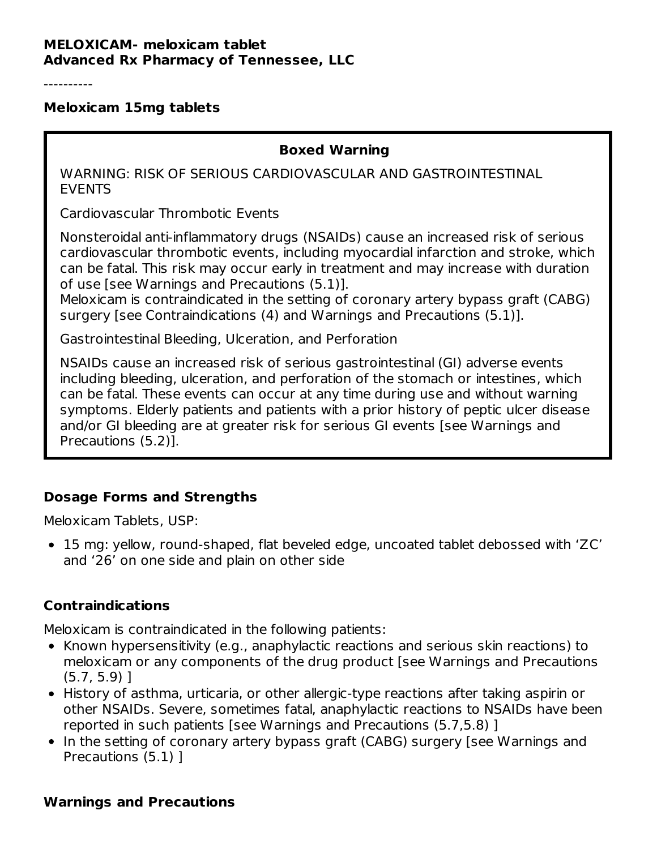#### **MELOXICAM- meloxicam tablet Advanced Rx Pharmacy of Tennessee, LLC**

----------

#### **Meloxicam 15mg tablets**

#### **Boxed Warning**

WARNING: RISK OF SERIOUS CARDIOVASCULAR AND GASTROINTESTINAL EVENTS

Cardiovascular Thrombotic Events

Nonsteroidal anti-inflammatory drugs (NSAIDs) cause an increased risk of serious cardiovascular thrombotic events, including myocardial infarction and stroke, which can be fatal. This risk may occur early in treatment and may increase with duration of use [see Warnings and Precautions (5.1)].

Meloxicam is contraindicated in the setting of coronary artery bypass graft (CABG) surgery [see Contraindications (4) and Warnings and Precautions (5.1)].

Gastrointestinal Bleeding, Ulceration, and Perforation

NSAIDs cause an increased risk of serious gastrointestinal (GI) adverse events including bleeding, ulceration, and perforation of the stomach or intestines, which can be fatal. These events can occur at any time during use and without warning symptoms. Elderly patients and patients with a prior history of peptic ulcer disease and/or GI bleeding are at greater risk for serious GI events [see Warnings and Precautions (5.2)].

#### **Dosage Forms and Strengths**

Meloxicam Tablets, USP:

15 mg: yellow, round-shaped, flat beveled edge, uncoated tablet debossed with 'ZC' and '26' on one side and plain on other side

#### **Contraindications**

Meloxicam is contraindicated in the following patients:

- Known hypersensitivity (e.g., anaphylactic reactions and serious skin reactions) to meloxicam or any components of the drug product [see Warnings and Precautions (5.7, 5.9) ]
- History of asthma, urticaria, or other allergic-type reactions after taking aspirin or other NSAIDs. Severe, sometimes fatal, anaphylactic reactions to NSAIDs have been reported in such patients [see Warnings and Precautions (5.7,5.8) ]
- In the setting of coronary artery bypass graft (CABG) surgery [see Warnings and Precautions (5.1) ]

#### **Warnings and Precautions**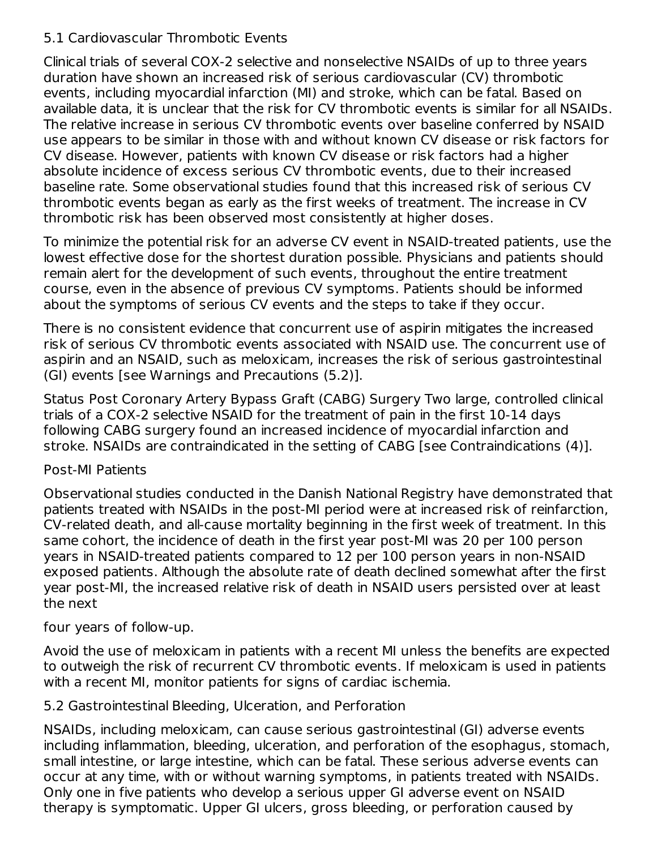### 5.1 Cardiovascular Thrombotic Events

Clinical trials of several COX-2 selective and nonselective NSAIDs of up to three years duration have shown an increased risk of serious cardiovascular (CV) thrombotic events, including myocardial infarction (MI) and stroke, which can be fatal. Based on available data, it is unclear that the risk for CV thrombotic events is similar for all NSAIDs. The relative increase in serious CV thrombotic events over baseline conferred by NSAID use appears to be similar in those with and without known CV disease or risk factors for CV disease. However, patients with known CV disease or risk factors had a higher absolute incidence of excess serious CV thrombotic events, due to their increased baseline rate. Some observational studies found that this increased risk of serious CV thrombotic events began as early as the first weeks of treatment. The increase in CV thrombotic risk has been observed most consistently at higher doses.

To minimize the potential risk for an adverse CV event in NSAID-treated patients, use the lowest effective dose for the shortest duration possible. Physicians and patients should remain alert for the development of such events, throughout the entire treatment course, even in the absence of previous CV symptoms. Patients should be informed about the symptoms of serious CV events and the steps to take if they occur.

There is no consistent evidence that concurrent use of aspirin mitigates the increased risk of serious CV thrombotic events associated with NSAID use. The concurrent use of aspirin and an NSAID, such as meloxicam, increases the risk of serious gastrointestinal (GI) events [see Warnings and Precautions (5.2)].

Status Post Coronary Artery Bypass Graft (CABG) Surgery Two large, controlled clinical trials of a COX-2 selective NSAID for the treatment of pain in the first 10-14 days following CABG surgery found an increased incidence of myocardial infarction and stroke. NSAIDs are contraindicated in the setting of CABG [see Contraindications (4)].

#### Post-MI Patients

Observational studies conducted in the Danish National Registry have demonstrated that patients treated with NSAIDs in the post-MI period were at increased risk of reinfarction, CV-related death, and all-cause mortality beginning in the first week of treatment. In this same cohort, the incidence of death in the first year post-MI was 20 per 100 person years in NSAID-treated patients compared to 12 per 100 person years in non-NSAID exposed patients. Although the absolute rate of death declined somewhat after the first year post-MI, the increased relative risk of death in NSAID users persisted over at least the next

#### four years of follow-up.

Avoid the use of meloxicam in patients with a recent MI unless the benefits are expected to outweigh the risk of recurrent CV thrombotic events. If meloxicam is used in patients with a recent MI, monitor patients for signs of cardiac ischemia.

#### 5.2 Gastrointestinal Bleeding, Ulceration, and Perforation

NSAIDs, including meloxicam, can cause serious gastrointestinal (GI) adverse events including inflammation, bleeding, ulceration, and perforation of the esophagus, stomach, small intestine, or large intestine, which can be fatal. These serious adverse events can occur at any time, with or without warning symptoms, in patients treated with NSAIDs. Only one in five patients who develop a serious upper GI adverse event on NSAID therapy is symptomatic. Upper GI ulcers, gross bleeding, or perforation caused by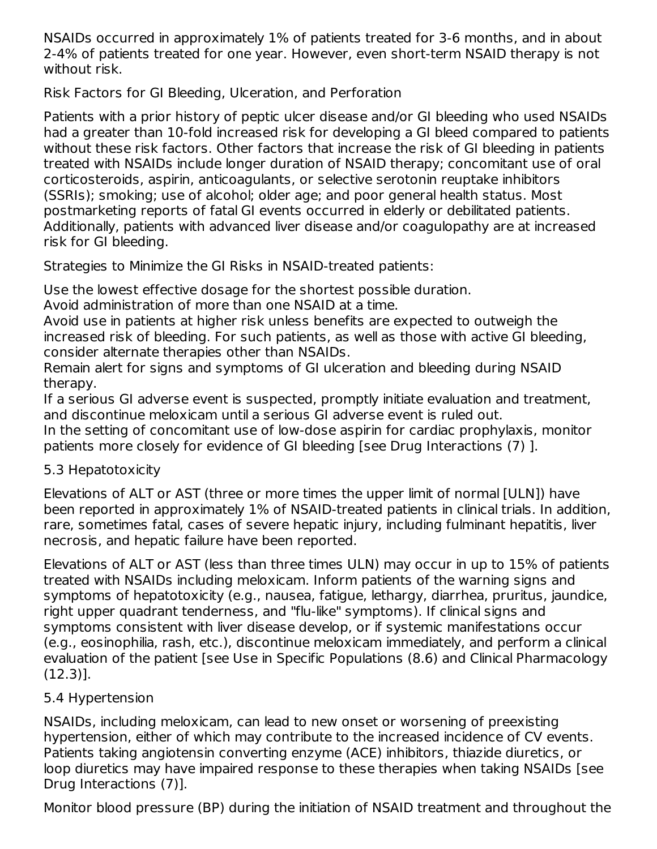NSAIDs occurred in approximately 1% of patients treated for 3-6 months, and in about 2-4% of patients treated for one year. However, even short-term NSAID therapy is not without risk.

Risk Factors for GI Bleeding, Ulceration, and Perforation

Patients with a prior history of peptic ulcer disease and/or GI bleeding who used NSAIDs had a greater than 10-fold increased risk for developing a GI bleed compared to patients without these risk factors. Other factors that increase the risk of GI bleeding in patients treated with NSAIDs include longer duration of NSAID therapy; concomitant use of oral corticosteroids, aspirin, anticoagulants, or selective serotonin reuptake inhibitors (SSRIs); smoking; use of alcohol; older age; and poor general health status. Most postmarketing reports of fatal GI events occurred in elderly or debilitated patients. Additionally, patients with advanced liver disease and/or coagulopathy are at increased risk for GI bleeding.

Strategies to Minimize the GI Risks in NSAID-treated patients:

Use the lowest effective dosage for the shortest possible duration.

Avoid administration of more than one NSAID at a time.

Avoid use in patients at higher risk unless benefits are expected to outweigh the increased risk of bleeding. For such patients, as well as those with active GI bleeding, consider alternate therapies other than NSAIDs.

Remain alert for signs and symptoms of GI ulceration and bleeding during NSAID therapy.

If a serious GI adverse event is suspected, promptly initiate evaluation and treatment, and discontinue meloxicam until a serious GI adverse event is ruled out.

In the setting of concomitant use of low-dose aspirin for cardiac prophylaxis, monitor patients more closely for evidence of GI bleeding [see Drug Interactions (7) ].

## 5.3 Hepatotoxicity

Elevations of ALT or AST (three or more times the upper limit of normal [ULN]) have been reported in approximately 1% of NSAID-treated patients in clinical trials. In addition, rare, sometimes fatal, cases of severe hepatic injury, including fulminant hepatitis, liver necrosis, and hepatic failure have been reported.

Elevations of ALT or AST (less than three times ULN) may occur in up to 15% of patients treated with NSAIDs including meloxicam. Inform patients of the warning signs and symptoms of hepatotoxicity (e.g., nausea, fatigue, lethargy, diarrhea, pruritus, jaundice, right upper quadrant tenderness, and "flu-like" symptoms). If clinical signs and symptoms consistent with liver disease develop, or if systemic manifestations occur (e.g., eosinophilia, rash, etc.), discontinue meloxicam immediately, and perform a clinical evaluation of the patient [see Use in Specific Populations (8.6) and Clinical Pharmacology (12.3)].

# 5.4 Hypertension

NSAIDs, including meloxicam, can lead to new onset or worsening of preexisting hypertension, either of which may contribute to the increased incidence of CV events. Patients taking angiotensin converting enzyme (ACE) inhibitors, thiazide diuretics, or loop diuretics may have impaired response to these therapies when taking NSAIDs [see Drug Interactions (7)].

Monitor blood pressure (BP) during the initiation of NSAID treatment and throughout the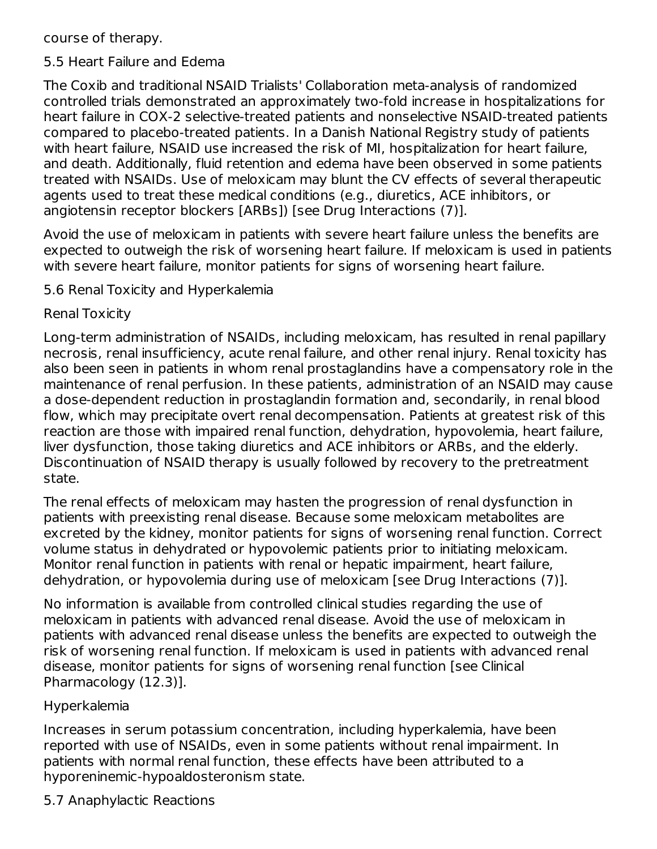course of therapy.

#### 5.5 Heart Failure and Edema

The Coxib and traditional NSAID Trialists' Collaboration meta-analysis of randomized controlled trials demonstrated an approximately two-fold increase in hospitalizations for heart failure in COX-2 selective-treated patients and nonselective NSAID-treated patients compared to placebo-treated patients. In a Danish National Registry study of patients with heart failure, NSAID use increased the risk of MI, hospitalization for heart failure, and death. Additionally, fluid retention and edema have been observed in some patients treated with NSAIDs. Use of meloxicam may blunt the CV effects of several therapeutic agents used to treat these medical conditions (e.g., diuretics, ACE inhibitors, or angiotensin receptor blockers [ARBs]) [see Drug Interactions (7)].

Avoid the use of meloxicam in patients with severe heart failure unless the benefits are expected to outweigh the risk of worsening heart failure. If meloxicam is used in patients with severe heart failure, monitor patients for signs of worsening heart failure.

5.6 Renal Toxicity and Hyperkalemia

### Renal Toxicity

Long-term administration of NSAIDs, including meloxicam, has resulted in renal papillary necrosis, renal insufficiency, acute renal failure, and other renal injury. Renal toxicity has also been seen in patients in whom renal prostaglandins have a compensatory role in the maintenance of renal perfusion. In these patients, administration of an NSAID may cause a dose-dependent reduction in prostaglandin formation and, secondarily, in renal blood flow, which may precipitate overt renal decompensation. Patients at greatest risk of this reaction are those with impaired renal function, dehydration, hypovolemia, heart failure, liver dysfunction, those taking diuretics and ACE inhibitors or ARBs, and the elderly. Discontinuation of NSAID therapy is usually followed by recovery to the pretreatment state.

The renal effects of meloxicam may hasten the progression of renal dysfunction in patients with preexisting renal disease. Because some meloxicam metabolites are excreted by the kidney, monitor patients for signs of worsening renal function. Correct volume status in dehydrated or hypovolemic patients prior to initiating meloxicam. Monitor renal function in patients with renal or hepatic impairment, heart failure, dehydration, or hypovolemia during use of meloxicam [see Drug Interactions (7)].

No information is available from controlled clinical studies regarding the use of meloxicam in patients with advanced renal disease. Avoid the use of meloxicam in patients with advanced renal disease unless the benefits are expected to outweigh the risk of worsening renal function. If meloxicam is used in patients with advanced renal disease, monitor patients for signs of worsening renal function [see Clinical Pharmacology (12.3)].

#### Hyperkalemia

Increases in serum potassium concentration, including hyperkalemia, have been reported with use of NSAIDs, even in some patients without renal impairment. In patients with normal renal function, these effects have been attributed to a hyporeninemic-hypoaldosteronism state.

## 5.7 Anaphylactic Reactions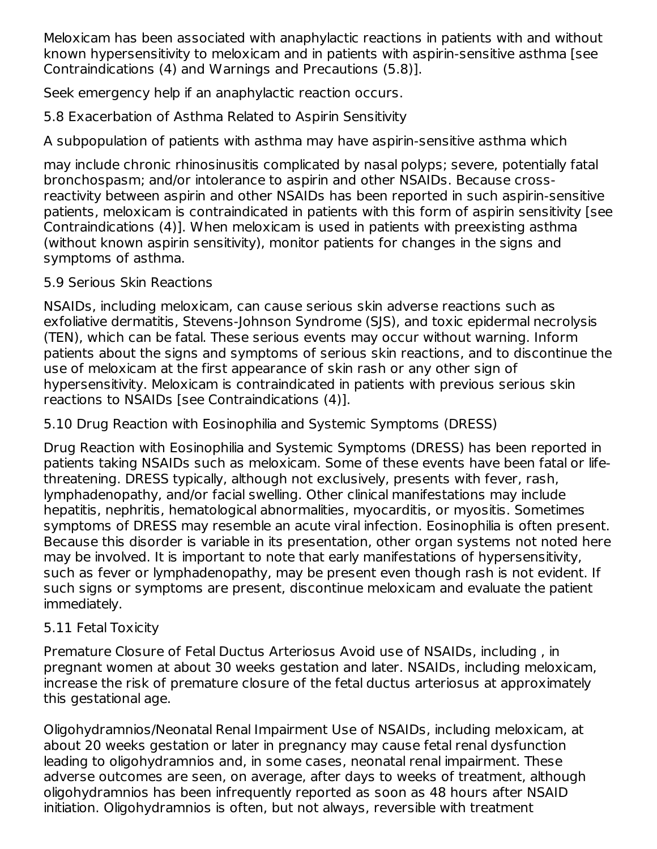Meloxicam has been associated with anaphylactic reactions in patients with and without known hypersensitivity to meloxicam and in patients with aspirin-sensitive asthma [see Contraindications (4) and Warnings and Precautions (5.8)].

Seek emergency help if an anaphylactic reaction occurs.

5.8 Exacerbation of Asthma Related to Aspirin Sensitivity

A subpopulation of patients with asthma may have aspirin-sensitive asthma which

may include chronic rhinosinusitis complicated by nasal polyps; severe, potentially fatal bronchospasm; and/or intolerance to aspirin and other NSAIDs. Because crossreactivity between aspirin and other NSAIDs has been reported in such aspirin-sensitive patients, meloxicam is contraindicated in patients with this form of aspirin sensitivity [see Contraindications (4)]. When meloxicam is used in patients with preexisting asthma (without known aspirin sensitivity), monitor patients for changes in the signs and symptoms of asthma.

5.9 Serious Skin Reactions

NSAIDs, including meloxicam, can cause serious skin adverse reactions such as exfoliative dermatitis, Stevens-Johnson Syndrome (SJS), and toxic epidermal necrolysis (TEN), which can be fatal. These serious events may occur without warning. Inform patients about the signs and symptoms of serious skin reactions, and to discontinue the use of meloxicam at the first appearance of skin rash or any other sign of hypersensitivity. Meloxicam is contraindicated in patients with previous serious skin reactions to NSAIDs [see Contraindications (4)].

5.10 Drug Reaction with Eosinophilia and Systemic Symptoms (DRESS)

Drug Reaction with Eosinophilia and Systemic Symptoms (DRESS) has been reported in patients taking NSAIDs such as meloxicam. Some of these events have been fatal or lifethreatening. DRESS typically, although not exclusively, presents with fever, rash, lymphadenopathy, and/or facial swelling. Other clinical manifestations may include hepatitis, nephritis, hematological abnormalities, myocarditis, or myositis. Sometimes symptoms of DRESS may resemble an acute viral infection. Eosinophilia is often present. Because this disorder is variable in its presentation, other organ systems not noted here may be involved. It is important to note that early manifestations of hypersensitivity, such as fever or lymphadenopathy, may be present even though rash is not evident. If such signs or symptoms are present, discontinue meloxicam and evaluate the patient immediately.

# 5.11 Fetal Toxicity

Premature Closure of Fetal Ductus Arteriosus Avoid use of NSAIDs, including , in pregnant women at about 30 weeks gestation and later. NSAIDs, including meloxicam, increase the risk of premature closure of the fetal ductus arteriosus at approximately this gestational age.

Oligohydramnios/Neonatal Renal Impairment Use of NSAIDs, including meloxicam, at about 20 weeks gestation or later in pregnancy may cause fetal renal dysfunction leading to oligohydramnios and, in some cases, neonatal renal impairment. These adverse outcomes are seen, on average, after days to weeks of treatment, although oligohydramnios has been infrequently reported as soon as 48 hours after NSAID initiation. Oligohydramnios is often, but not always, reversible with treatment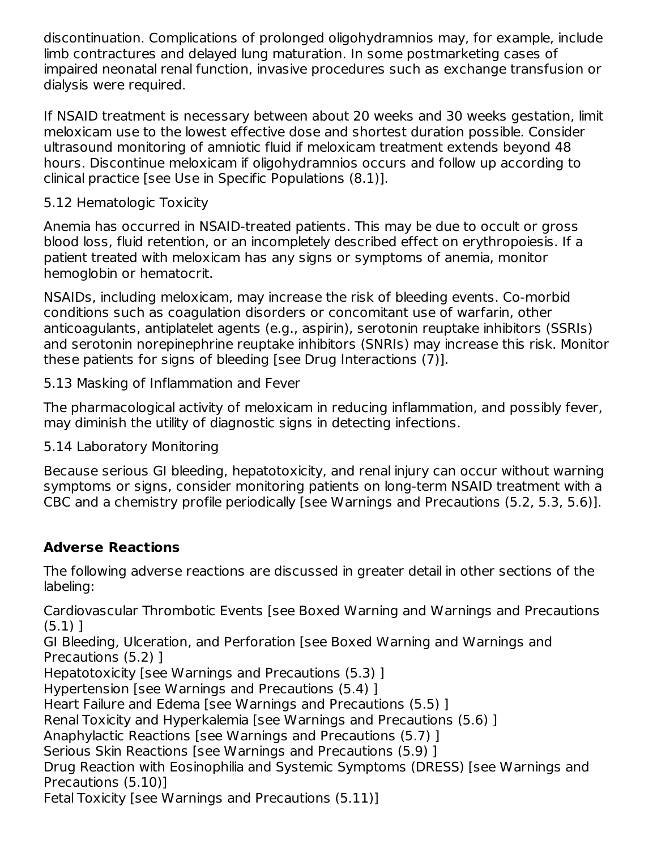discontinuation. Complications of prolonged oligohydramnios may, for example, include limb contractures and delayed lung maturation. In some postmarketing cases of impaired neonatal renal function, invasive procedures such as exchange transfusion or dialysis were required.

If NSAID treatment is necessary between about 20 weeks and 30 weeks gestation, limit meloxicam use to the lowest effective dose and shortest duration possible. Consider ultrasound monitoring of amniotic fluid if meloxicam treatment extends beyond 48 hours. Discontinue meloxicam if oligohydramnios occurs and follow up according to clinical practice [see Use in Specific Populations (8.1)].

### 5.12 Hematologic Toxicity

Anemia has occurred in NSAID-treated patients. This may be due to occult or gross blood loss, fluid retention, or an incompletely described effect on erythropoiesis. If a patient treated with meloxicam has any signs or symptoms of anemia, monitor hemoglobin or hematocrit.

NSAIDs, including meloxicam, may increase the risk of bleeding events. Co-morbid conditions such as coagulation disorders or concomitant use of warfarin, other anticoagulants, antiplatelet agents (e.g., aspirin), serotonin reuptake inhibitors (SSRIs) and serotonin norepinephrine reuptake inhibitors (SNRIs) may increase this risk. Monitor these patients for signs of bleeding [see Drug Interactions (7)].

5.13 Masking of Inflammation and Fever

The pharmacological activity of meloxicam in reducing inflammation, and possibly fever, may diminish the utility of diagnostic signs in detecting infections.

5.14 Laboratory Monitoring

Because serious GI bleeding, hepatotoxicity, and renal injury can occur without warning symptoms or signs, consider monitoring patients on long-term NSAID treatment with a CBC and a chemistry profile periodically [see Warnings and Precautions (5.2, 5.3, 5.6)].

# **Adverse Reactions**

The following adverse reactions are discussed in greater detail in other sections of the labeling:

Cardiovascular Thrombotic Events [see Boxed Warning and Warnings and Precautions (5.1) ]

GI Bleeding, Ulceration, and Perforation [see Boxed Warning and Warnings and Precautions (5.2) ]

Hepatotoxicity [see Warnings and Precautions (5.3) ]

Hypertension [see Warnings and Precautions (5.4) ]

Heart Failure and Edema [see Warnings and Precautions (5.5) ]

Renal Toxicity and Hyperkalemia [see Warnings and Precautions (5.6) ]

Anaphylactic Reactions [see Warnings and Precautions (5.7) ]

Serious Skin Reactions [see Warnings and Precautions (5.9) ]

Drug Reaction with Eosinophilia and Systemic Symptoms (DRESS) [see Warnings and Precautions (5.10)]

Fetal Toxicity [see Warnings and Precautions (5.11)]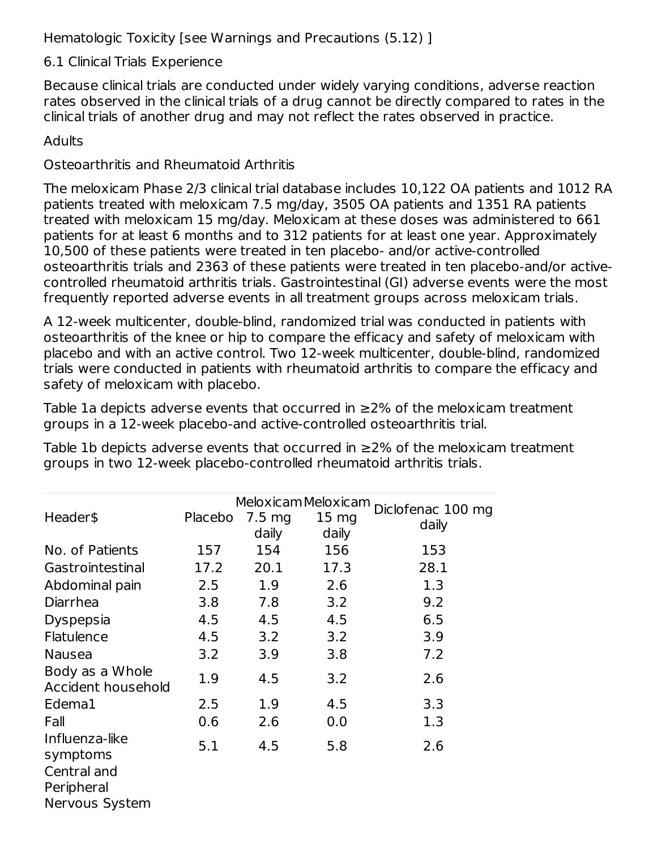Hematologic Toxicity [see Warnings and Precautions (5.12) ]

### 6.1 Clinical Trials Experience

Because clinical trials are conducted under widely varying conditions, adverse reaction rates observed in the clinical trials of a drug cannot be directly compared to rates in the clinical trials of another drug and may not reflect the rates observed in practice.

### **Adults**

### Osteoarthritis and Rheumatoid Arthritis

The meloxicam Phase 2/3 clinical trial database includes 10,122 OA patients and 1012 RA patients treated with meloxicam 7.5 mg/day, 3505 OA patients and 1351 RA patients treated with meloxicam 15 mg/day. Meloxicam at these doses was administered to 661 patients for at least 6 months and to 312 patients for at least one year. Approximately 10,500 of these patients were treated in ten placebo- and/or active-controlled osteoarthritis trials and 2363 of these patients were treated in ten placebo-and/or activecontrolled rheumatoid arthritis trials. Gastrointestinal (GI) adverse events were the most frequently reported adverse events in all treatment groups across meloxicam trials.

A 12-week multicenter, double-blind, randomized trial was conducted in patients with osteoarthritis of the knee or hip to compare the efficacy and safety of meloxicam with placebo and with an active control. Two 12-week multicenter, double-blind, randomized trials were conducted in patients with rheumatoid arthritis to compare the efficacy and safety of meloxicam with placebo.

Table 1a depicts adverse events that occurred in ≥2% of the meloxicam treatment groups in a 12-week placebo-and active-controlled osteoarthritis trial.

Table 1b depicts adverse events that occurred in ≥2% of the meloxicam treatment groups in two 12-week placebo-controlled rheumatoid arthritis trials.

|                    |         |                  | Meloxicam Meloxicam |                   |
|--------------------|---------|------------------|---------------------|-------------------|
| Header\$           | Placebo | $7.5 \text{ mg}$ | 15 <sub>mg</sub>    | Diclofenac 100 mg |
|                    |         | daily            | daily               | daily             |
| No. of Patients    | 157     | 154              | 156                 | 153               |
| Gastrointestinal   | 17.2    | 20.1             | 17.3                | 28.1              |
| Abdominal pain     | 2.5     | 1.9              | 2.6                 | 1.3               |
| Diarrhea           | 3.8     | 7.8              | 3.2                 | 9.2               |
| <b>Dyspepsia</b>   | 4.5     | 4.5              | 4.5                 | 6.5               |
| Flatulence         | 4.5     | 3.2              | 3.2                 | 3.9               |
| <b>Nausea</b>      | 3.2     | 3.9              | 3.8                 | 7.2               |
| Body as a Whole    | 1.9     | 4.5              | 3.2                 | 2.6               |
| Accident household |         |                  |                     |                   |
| Edema1             | 2.5     | 1.9              | 4.5                 | 3.3               |
| Fall               | 0.6     | 2.6              | 0.0                 | 1.3               |
| Influenza-like     | 5.1     | 4.5              | 5.8                 | 2.6               |
| symptoms           |         |                  |                     |                   |
| Central and        |         |                  |                     |                   |
| Peripheral         |         |                  |                     |                   |
| Nervous System     |         |                  |                     |                   |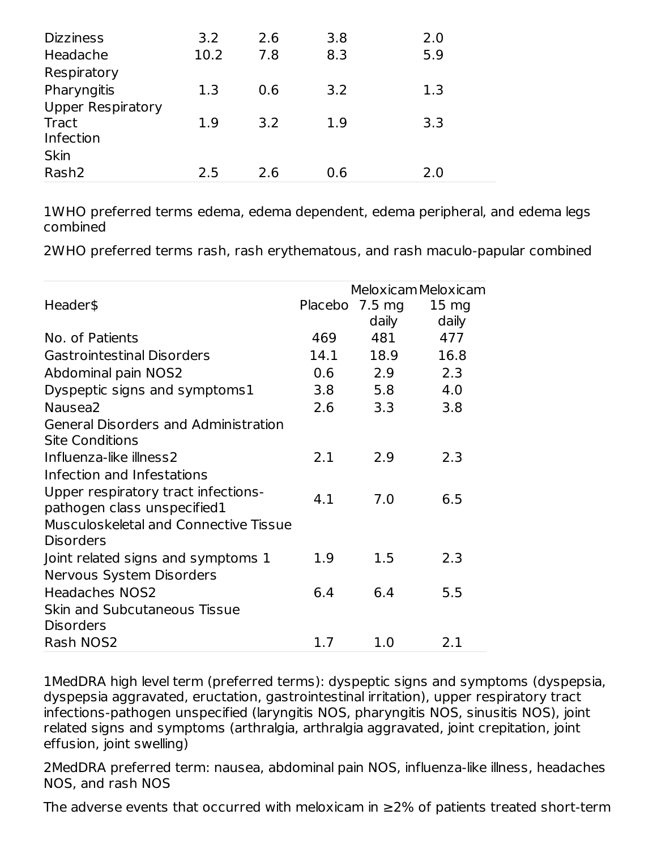| <b>Dizziness</b>         | 3.2  | 2.6 | 3.8 | 2.0 |
|--------------------------|------|-----|-----|-----|
| Headache                 | 10.2 | 7.8 | 8.3 | 5.9 |
| Respiratory              |      |     |     |     |
| Pharyngitis              | 1.3  | 0.6 | 3.2 | 1.3 |
| <b>Upper Respiratory</b> |      |     |     |     |
| <b>Tract</b>             | 1.9  | 3.2 | 1.9 | 3.3 |
| Infection                |      |     |     |     |
| <b>Skin</b>              |      |     |     |     |
| Rash <sub>2</sub>        | 2.5  | 2.6 | 0.6 | 2.0 |

1WHO preferred terms edema, edema dependent, edema peripheral, and edema legs combined

2WHO preferred terms rash, rash erythematous, and rash maculo-papular combined

|                                       |      |                  | Meloxicam Meloxicam |
|---------------------------------------|------|------------------|---------------------|
| Header\$                              |      | Placebo 7.5 mg   | 15 <sub>mg</sub>    |
|                                       |      | daily            | daily               |
| No. of Patients                       | 469  | 481              | 477                 |
| <b>Gastrointestinal Disorders</b>     | 14.1 | 18.9             | 16.8                |
| Abdominal pain NOS2                   | 0.6  | 2.9              | 2.3                 |
| Dyspeptic signs and symptoms1         | 3.8  | 5.8              | 4.0                 |
| Nausea <sub>2</sub>                   | 2.6  | 3.3 <sub>2</sub> | 3.8                 |
| General Disorders and Administration  |      |                  |                     |
| <b>Site Conditions</b>                |      |                  |                     |
| Influenza-like illness2               | 2.1  | 2.9              | 2.3                 |
| Infection and Infestations            |      |                  |                     |
| Upper respiratory tract infections-   | 4.1  | 7.0              | 6.5                 |
| pathogen class unspecified1           |      |                  |                     |
| Musculoskeletal and Connective Tissue |      |                  |                     |
| <b>Disorders</b>                      |      |                  |                     |
| Joint related signs and symptoms 1    | 1.9  | 1.5              | 2.3                 |
| Nervous System Disorders              |      |                  |                     |
| <b>Headaches NOS2</b>                 | 6.4  | 6.4              | 5.5                 |
| Skin and Subcutaneous Tissue          |      |                  |                     |
| <b>Disorders</b>                      |      |                  |                     |
| Rash NOS2                             | 1.7  | 1.0              | 2.1                 |

1MedDRA high level term (preferred terms): dyspeptic signs and symptoms (dyspepsia, dyspepsia aggravated, eructation, gastrointestinal irritation), upper respiratory tract infections-pathogen unspecified (laryngitis NOS, pharyngitis NOS, sinusitis NOS), joint related signs and symptoms (arthralgia, arthralgia aggravated, joint crepitation, joint effusion, joint swelling)

2MedDRA preferred term: nausea, abdominal pain NOS, influenza-like illness, headaches NOS, and rash NOS

The adverse events that occurred with meloxicam in  $\geq$ 2% of patients treated short-term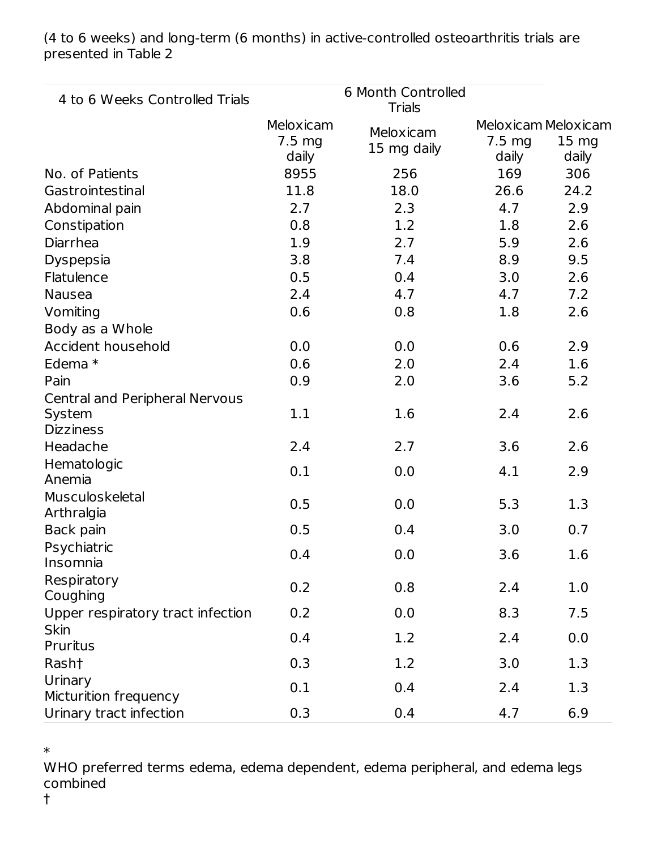| 4 to 6 Weeks Controlled Trials                |                                        | 6 Month Controlled<br><b>Trials</b> |                           |                                                  |
|-----------------------------------------------|----------------------------------------|-------------------------------------|---------------------------|--------------------------------------------------|
|                                               | Meloxicam<br>$7.5 \text{ mg}$<br>daily | Meloxicam<br>15 mg daily            | $7.5 \text{ mg}$<br>daily | Meloxicam Meloxicam<br>15 <sub>mg</sub><br>daily |
| No. of Patients                               | 8955                                   | 256                                 | 169                       | 306                                              |
| Gastrointestinal                              | 11.8                                   | 18.0                                | 26.6                      | 24.2                                             |
| Abdominal pain                                | 2.7                                    | 2.3                                 | 4.7                       | 2.9                                              |
| Constipation                                  | 0.8                                    | 1.2                                 | 1.8                       | 2.6                                              |
| Diarrhea                                      | 1.9                                    | 2.7                                 | 5.9                       | 2.6                                              |
| Dyspepsia                                     | 3.8                                    | 7.4                                 | 8.9                       | 9.5                                              |
| Flatulence                                    | 0.5                                    | 0.4                                 | 3.0                       | 2.6                                              |
| <b>Nausea</b>                                 | 2.4                                    | 4.7                                 | 4.7                       | 7.2                                              |
| Vomiting                                      | 0.6                                    | 0.8                                 | 1.8                       | 2.6                                              |
| Body as a Whole                               |                                        |                                     |                           |                                                  |
| Accident household                            | 0.0                                    | 0.0                                 | 0.6                       | 2.9                                              |
| Edema *                                       | 0.6                                    | 2.0                                 | 2.4                       | 1.6                                              |
| Pain                                          | 0.9                                    | 2.0                                 | 3.6                       | 5.2                                              |
| <b>Central and Peripheral Nervous</b>         |                                        |                                     |                           |                                                  |
| System<br><b>Dizziness</b>                    | 1.1                                    | 1.6                                 | 2.4                       | 2.6                                              |
| Headache                                      | 2.4                                    | 2.7                                 | 3.6                       | 2.6                                              |
| Hematologic<br>Anemia                         | 0.1                                    | 0.0                                 | 4.1                       | 2.9                                              |
| Musculoskeletal<br>Arthralgia                 | 0.5                                    | 0.0                                 | 5.3                       | 1.3                                              |
| Back pain                                     | 0.5                                    | 0.4                                 | 3.0                       | 0.7                                              |
| Psychiatric<br>Insomnia                       | 0.4                                    | 0.0                                 | 3.6                       | 1.6                                              |
| Respiratory                                   | 0.2                                    | 0.8                                 | 2.4                       | 1.0                                              |
| Coughing<br>Upper respiratory tract infection | 0.2                                    | 0.0                                 | 8.3                       | 7.5                                              |
| <b>Skin</b>                                   |                                        |                                     |                           |                                                  |
| <b>Pruritus</b>                               | 0.4                                    | 1.2                                 | 2.4                       | 0.0                                              |
| Rash†                                         | 0.3                                    | 1.2                                 | 3.0                       | 1.3                                              |
| Urinary                                       | 0.1                                    | 0.4                                 | 2.4                       | 1.3                                              |
| Micturition frequency                         |                                        |                                     |                           |                                                  |
| Urinary tract infection                       | 0.3                                    | 0.4                                 | 4.7                       | 6.9                                              |

(4 to 6 weeks) and long-term (6 months) in active-controlled osteoarthritis trials are presented in Table 2

\*

WHO preferred terms edema, edema dependent, edema peripheral, and edema legs combined

†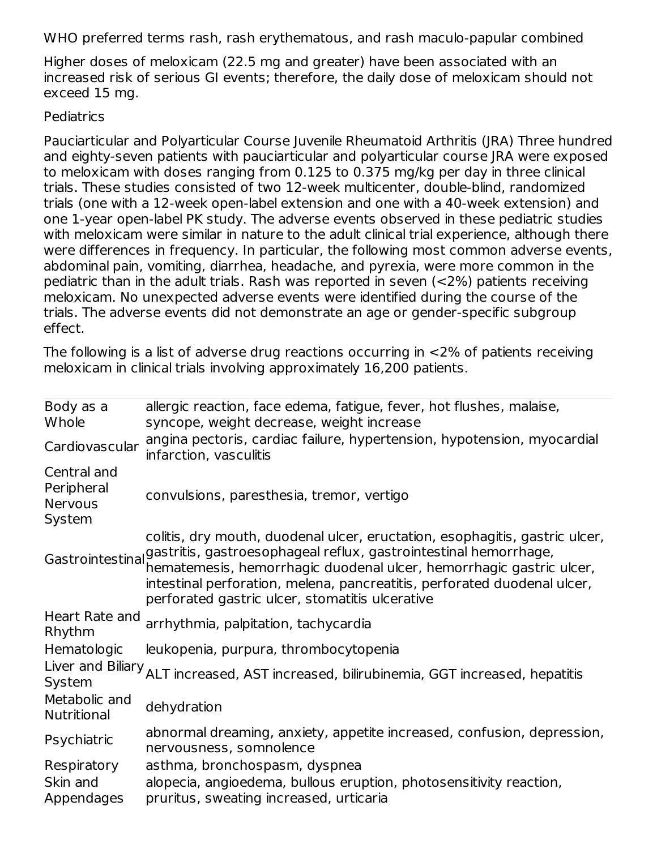WHO preferred terms rash, rash erythematous, and rash maculo-papular combined

Higher doses of meloxicam (22.5 mg and greater) have been associated with an increased risk of serious GI events; therefore, the daily dose of meloxicam should not exceed 15 mg.

#### **Pediatrics**

Pauciarticular and Polyarticular Course Juvenile Rheumatoid Arthritis (JRA) Three hundred and eighty-seven patients with pauciarticular and polyarticular course JRA were exposed to meloxicam with doses ranging from 0.125 to 0.375 mg/kg per day in three clinical trials. These studies consisted of two 12-week multicenter, double-blind, randomized trials (one with a 12-week open-label extension and one with a 40-week extension) and one 1-year open-label PK study. The adverse events observed in these pediatric studies with meloxicam were similar in nature to the adult clinical trial experience, although there were differences in frequency. In particular, the following most common adverse events, abdominal pain, vomiting, diarrhea, headache, and pyrexia, were more common in the pediatric than in the adult trials. Rash was reported in seven (<2%) patients receiving meloxicam. No unexpected adverse events were identified during the course of the trials. The adverse events did not demonstrate an age or gender-specific subgroup effect.

The following is a list of adverse drug reactions occurring in <2% of patients receiving meloxicam in clinical trials involving approximately 16,200 patients.

| Body as a<br>Whole                                    | allergic reaction, face edema, fatigue, fever, hot flushes, malaise,<br>syncope, weight decrease, weight increase                                                                                                                                                                                                                                     |
|-------------------------------------------------------|-------------------------------------------------------------------------------------------------------------------------------------------------------------------------------------------------------------------------------------------------------------------------------------------------------------------------------------------------------|
| Cardiovascular                                        | angina pectoris, cardiac failure, hypertension, hypotension, myocardial<br>infarction, vasculitis                                                                                                                                                                                                                                                     |
| Central and<br>Peripheral<br><b>Nervous</b><br>System | convulsions, paresthesia, tremor, vertigo                                                                                                                                                                                                                                                                                                             |
| Gastrointestinal                                      | colitis, dry mouth, duodenal ulcer, eructation, esophagitis, gastric ulcer,<br>gastritis, gastroesophageal reflux, gastrointestinal hemorrhage,<br>hematemesis, hemorrhagic duodenal ulcer, hemorrhagic gastric ulcer,<br>intestinal perforation, melena, pancreatitis, perforated duodenal ulcer,<br>perforated gastric ulcer, stomatitis ulcerative |
| Heart Rate and<br>Rhythm                              | arrhythmia, palpitation, tachycardia                                                                                                                                                                                                                                                                                                                  |
| Hematologic                                           | leukopenia, purpura, thrombocytopenia                                                                                                                                                                                                                                                                                                                 |
| System                                                | Liver and Biliary <sub>ALT</sub> increased, AST increased, bilirubinemia, GGT increased, hepatitis                                                                                                                                                                                                                                                    |
| Metabolic and<br>Nutritional                          | dehydration                                                                                                                                                                                                                                                                                                                                           |
| Psychiatric                                           | abnormal dreaming, anxiety, appetite increased, confusion, depression,<br>nervousness, somnolence                                                                                                                                                                                                                                                     |
| Respiratory                                           | asthma, bronchospasm, dyspnea                                                                                                                                                                                                                                                                                                                         |
| Skin and<br>Appendages                                | alopecia, angioedema, bullous eruption, photosensitivity reaction,<br>pruritus, sweating increased, urticaria                                                                                                                                                                                                                                         |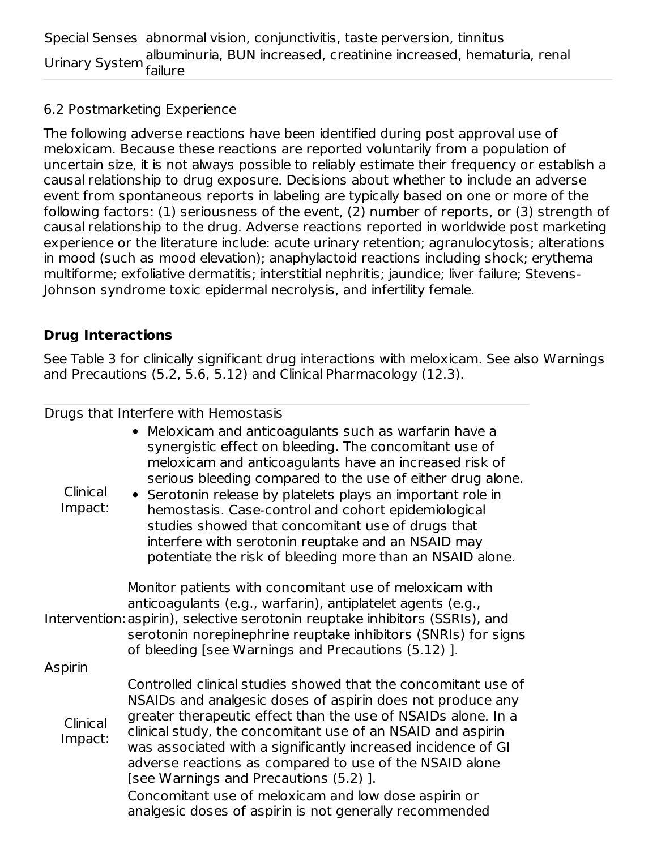### 6.2 Postmarketing Experience

The following adverse reactions have been identified during post approval use of meloxicam. Because these reactions are reported voluntarily from a population of uncertain size, it is not always possible to reliably estimate their frequency or establish a causal relationship to drug exposure. Decisions about whether to include an adverse event from spontaneous reports in labeling are typically based on one or more of the following factors: (1) seriousness of the event, (2) number of reports, or (3) strength of causal relationship to the drug. Adverse reactions reported in worldwide post marketing experience or the literature include: acute urinary retention; agranulocytosis; alterations in mood (such as mood elevation); anaphylactoid reactions including shock; erythema multiforme; exfoliative dermatitis; interstitial nephritis; jaundice; liver failure; Stevens-Johnson syndrome toxic epidermal necrolysis, and infertility female.

### **Drug Interactions**

See Table 3 for clinically significant drug interactions with meloxicam. See also Warnings and Precautions (5.2, 5.6, 5.12) and Clinical Pharmacology (12.3).

#### Drugs that Interfere with Hemostasis

| Clinical<br>Impact: | • Meloxicam and anticoagulants such as warfarin have a<br>synergistic effect on bleeding. The concomitant use of<br>meloxicam and anticoagulants have an increased risk of<br>serious bleeding compared to the use of either drug alone.<br>• Serotonin release by platelets plays an important role in<br>hemostasis. Case-control and cohort epidemiological<br>studies showed that concomitant use of drugs that<br>interfere with serotonin reuptake and an NSAID may<br>potentiate the risk of bleeding more than an NSAID alone.               |
|---------------------|------------------------------------------------------------------------------------------------------------------------------------------------------------------------------------------------------------------------------------------------------------------------------------------------------------------------------------------------------------------------------------------------------------------------------------------------------------------------------------------------------------------------------------------------------|
|                     | Monitor patients with concomitant use of meloxicam with<br>anticoagulants (e.g., warfarin), antiplatelet agents (e.g.,<br>Intervention: aspirin), selective serotonin reuptake inhibitors (SSRIs), and<br>serotonin norepinephrine reuptake inhibitors (SNRIs) for signs<br>of bleeding [see Warnings and Precautions (5.12) ].                                                                                                                                                                                                                      |
| Aspirin             |                                                                                                                                                                                                                                                                                                                                                                                                                                                                                                                                                      |
| Clinical<br>Impact: | Controlled clinical studies showed that the concomitant use of<br>NSAIDs and analgesic doses of aspirin does not produce any<br>greater therapeutic effect than the use of NSAIDs alone. In a<br>clinical study, the concomitant use of an NSAID and aspirin<br>was associated with a significantly increased incidence of GI<br>adverse reactions as compared to use of the NSAID alone<br>[see Warnings and Precautions (5.2)].<br>Concomitant use of meloxicam and low dose aspirin or<br>analgesic doses of aspirin is not generally recommended |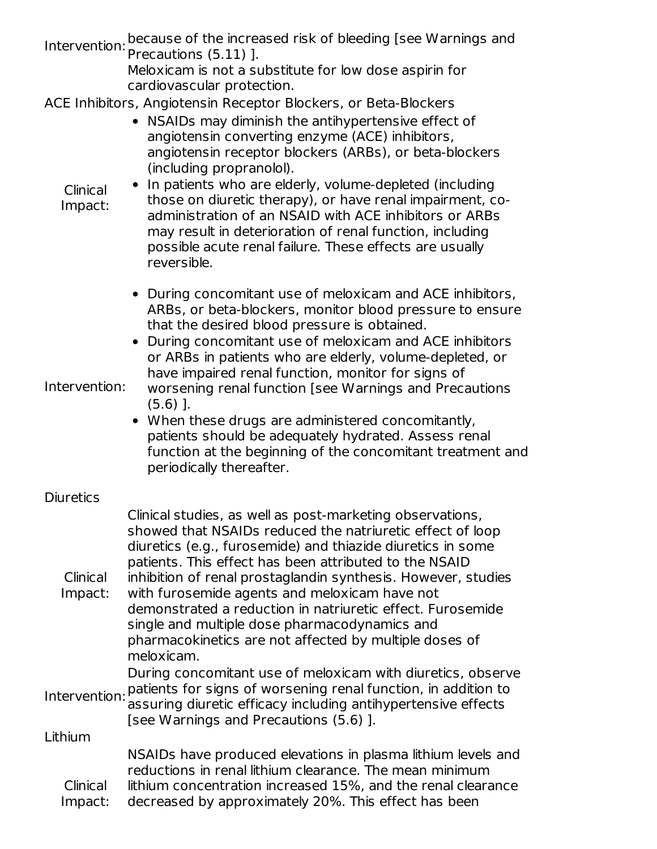Intervention: Precautions (5.11) ]. because of the increased risk of bleeding [see Warnings and

Meloxicam is not a substitute for low dose aspirin for cardiovascular protection.

ACE Inhibitors, Angiotensin Receptor Blockers, or Beta-Blockers

|                     | L ITITING DI ANGELISHI RECEPCOT DIOCRETS, OT DECA DIOCT                                                                                                                                                                                                                                                                                                                                                                                                                                                                                                                                                                           |
|---------------------|-----------------------------------------------------------------------------------------------------------------------------------------------------------------------------------------------------------------------------------------------------------------------------------------------------------------------------------------------------------------------------------------------------------------------------------------------------------------------------------------------------------------------------------------------------------------------------------------------------------------------------------|
| Clinical<br>Impact: | • NSAIDs may diminish the antihypertensive effect of<br>angiotensin converting enzyme (ACE) inhibitors,<br>angiotensin receptor blockers (ARBs), or beta-blockers<br>(including propranolol).<br>In patients who are elderly, volume-depleted (including<br>those on diuretic therapy), or have renal impairment, co-<br>administration of an NSAID with ACE inhibitors or ARBs<br>may result in deterioration of renal function, including<br>possible acute renal failure. These effects are usually<br>reversible.                                                                                                             |
| Intervention:       | • During concomitant use of meloxicam and ACE inhibitors,<br>ARBs, or beta-blockers, monitor blood pressure to ensure<br>that the desired blood pressure is obtained.<br>During concomitant use of meloxicam and ACE inhibitors<br>or ARBs in patients who are elderly, volume-depleted, or<br>have impaired renal function, monitor for signs of<br>worsening renal function [see Warnings and Precautions<br>$(5.6)$ ].<br>• When these drugs are administered concomitantly,<br>patients should be adequately hydrated. Assess renal<br>function at the beginning of the concomitant treatment and<br>periodically thereafter. |
| <b>Diuretics</b>    |                                                                                                                                                                                                                                                                                                                                                                                                                                                                                                                                                                                                                                   |
| Clinical<br>Impact: | Clinical studies, as well as post-marketing observations,<br>showed that NSAIDs reduced the natriuretic effect of loop<br>diuretics (e.g., furosemide) and thiazide diuretics in some<br>patients. This effect has been attributed to the NSAID<br>inhibition of renal prostaglandin synthesis. However, studies<br>with furosemide agents and meloxicam have not<br>demonstrated a reduction in natriuretic effect. Furosemide<br>single and multiple dose pharmacodynamics and<br>pharmacokinetics are not affected by multiple doses of                                                                                        |

meloxicam.

Intervention: patients for signs of worsening renal function, in addition to During concomitant use of meloxicam with diuretics, observe

assuring diuretic efficacy including antihypertensive effects [see Warnings and Precautions (5.6) ].

Lithium

Clinical Impact: NSAIDs have produced elevations in plasma lithium levels and reductions in renal lithium clearance. The mean minimum lithium concentration increased 15%, and the renal clearance decreased by approximately 20%. This effect has been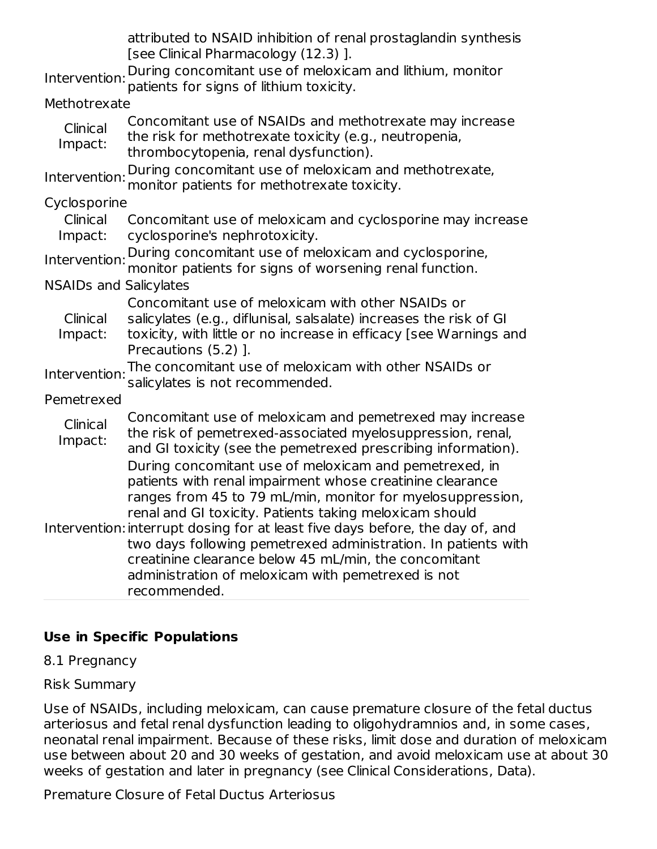|                               | attributed to NSAID inhibition of renal prostaglandin synthesis<br>[see Clinical Pharmacology (12.3)].                                                                                                                                                                                                                                                                                                                                                                                                                         |
|-------------------------------|--------------------------------------------------------------------------------------------------------------------------------------------------------------------------------------------------------------------------------------------------------------------------------------------------------------------------------------------------------------------------------------------------------------------------------------------------------------------------------------------------------------------------------|
|                               | During concomitant use of meloxicam and lithium, monitor                                                                                                                                                                                                                                                                                                                                                                                                                                                                       |
| Intervention:                 | patients for signs of lithium toxicity.                                                                                                                                                                                                                                                                                                                                                                                                                                                                                        |
| Methotrexate                  |                                                                                                                                                                                                                                                                                                                                                                                                                                                                                                                                |
| Clinical<br>Impact:           | Concomitant use of NSAIDs and methotrexate may increase<br>the risk for methotrexate toxicity (e.g., neutropenia,<br>thrombocytopenia, renal dysfunction).                                                                                                                                                                                                                                                                                                                                                                     |
| Intervention:                 | During concomitant use of meloxicam and methotrexate,<br>monitor patients for methotrexate toxicity.                                                                                                                                                                                                                                                                                                                                                                                                                           |
| Cyclosporine                  |                                                                                                                                                                                                                                                                                                                                                                                                                                                                                                                                |
| Clinical<br>Impact:           | Concomitant use of meloxicam and cyclosporine may increase<br>cyclosporine's nephrotoxicity.                                                                                                                                                                                                                                                                                                                                                                                                                                   |
| Intervention:                 | During concomitant use of meloxicam and cyclosporine,<br>monitor patients for signs of worsening renal function.                                                                                                                                                                                                                                                                                                                                                                                                               |
| <b>NSAIDs and Salicylates</b> |                                                                                                                                                                                                                                                                                                                                                                                                                                                                                                                                |
| Clinical<br>Impact:           | Concomitant use of meloxicam with other NSAIDs or<br>salicylates (e.g., diflunisal, salsalate) increases the risk of GI<br>toxicity, with little or no increase in efficacy [see Warnings and<br>Precautions (5.2) ].                                                                                                                                                                                                                                                                                                          |
| Intervention:                 | The concomitant use of meloxicam with other NSAIDs or<br>salicylates is not recommended.                                                                                                                                                                                                                                                                                                                                                                                                                                       |
| Pemetrexed                    |                                                                                                                                                                                                                                                                                                                                                                                                                                                                                                                                |
| Clinical<br>Impact:           | Concomitant use of meloxicam and pemetrexed may increase<br>the risk of pemetrexed-associated myelosuppression, renal,<br>and GI toxicity (see the pemetrexed prescribing information).                                                                                                                                                                                                                                                                                                                                        |
|                               | During concomitant use of meloxicam and pemetrexed, in<br>patients with renal impairment whose creatinine clearance<br>ranges from 45 to 79 mL/min, monitor for myelosuppression,<br>renal and GI toxicity. Patients taking meloxicam should<br>Intervention: interrupt dosing for at least five days before, the day of, and<br>two days following pemetrexed administration. In patients with<br>creatinine clearance below 45 mL/min, the concomitant<br>administration of meloxicam with pemetrexed is not<br>recommended. |

#### **Use in Specific Populations**

#### 8.1 Pregnancy

#### Risk Summary

Use of NSAIDs, including meloxicam, can cause premature closure of the fetal ductus arteriosus and fetal renal dysfunction leading to oligohydramnios and, in some cases, neonatal renal impairment. Because of these risks, limit dose and duration of meloxicam use between about 20 and 30 weeks of gestation, and avoid meloxicam use at about 30 weeks of gestation and later in pregnancy (see Clinical Considerations, Data).

Premature Closure of Fetal Ductus Arteriosus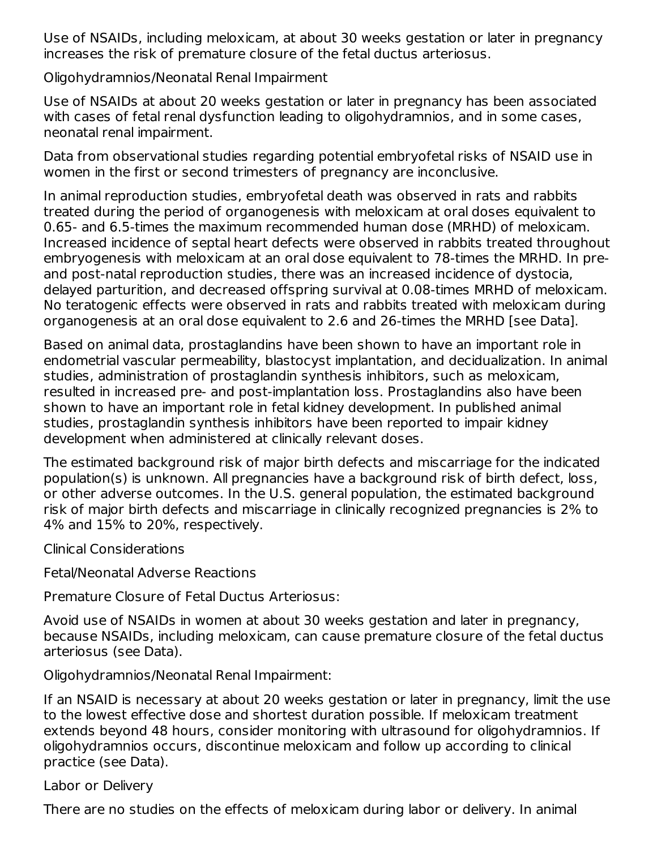Use of NSAIDs, including meloxicam, at about 30 weeks gestation or later in pregnancy increases the risk of premature closure of the fetal ductus arteriosus.

Oligohydramnios/Neonatal Renal Impairment

Use of NSAIDs at about 20 weeks gestation or later in pregnancy has been associated with cases of fetal renal dysfunction leading to oligohydramnios, and in some cases, neonatal renal impairment.

Data from observational studies regarding potential embryofetal risks of NSAID use in women in the first or second trimesters of pregnancy are inconclusive.

In animal reproduction studies, embryofetal death was observed in rats and rabbits treated during the period of organogenesis with meloxicam at oral doses equivalent to 0.65- and 6.5-times the maximum recommended human dose (MRHD) of meloxicam. Increased incidence of septal heart defects were observed in rabbits treated throughout embryogenesis with meloxicam at an oral dose equivalent to 78-times the MRHD. In preand post-natal reproduction studies, there was an increased incidence of dystocia, delayed parturition, and decreased offspring survival at 0.08-times MRHD of meloxicam. No teratogenic effects were observed in rats and rabbits treated with meloxicam during organogenesis at an oral dose equivalent to 2.6 and 26-times the MRHD [see Data].

Based on animal data, prostaglandins have been shown to have an important role in endometrial vascular permeability, blastocyst implantation, and decidualization. In animal studies, administration of prostaglandin synthesis inhibitors, such as meloxicam, resulted in increased pre- and post-implantation loss. Prostaglandins also have been shown to have an important role in fetal kidney development. In published animal studies, prostaglandin synthesis inhibitors have been reported to impair kidney development when administered at clinically relevant doses.

The estimated background risk of major birth defects and miscarriage for the indicated population(s) is unknown. All pregnancies have a background risk of birth defect, loss, or other adverse outcomes. In the U.S. general population, the estimated background risk of major birth defects and miscarriage in clinically recognized pregnancies is 2% to 4% and 15% to 20%, respectively.

Clinical Considerations

Fetal/Neonatal Adverse Reactions

Premature Closure of Fetal Ductus Arteriosus:

Avoid use of NSAIDs in women at about 30 weeks gestation and later in pregnancy, because NSAIDs, including meloxicam, can cause premature closure of the fetal ductus arteriosus (see Data).

Oligohydramnios/Neonatal Renal Impairment:

If an NSAID is necessary at about 20 weeks gestation or later in pregnancy, limit the use to the lowest effective dose and shortest duration possible. If meloxicam treatment extends beyond 48 hours, consider monitoring with ultrasound for oligohydramnios. If oligohydramnios occurs, discontinue meloxicam and follow up according to clinical practice (see Data).

Labor or Delivery

There are no studies on the effects of meloxicam during labor or delivery. In animal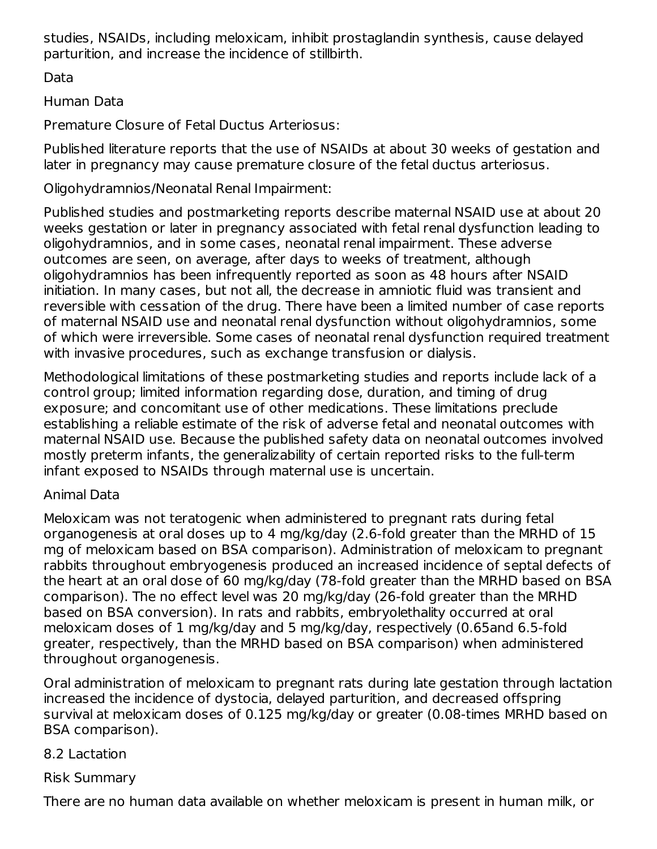studies, NSAIDs, including meloxicam, inhibit prostaglandin synthesis, cause delayed parturition, and increase the incidence of stillbirth.

Data

Human Data

Premature Closure of Fetal Ductus Arteriosus:

Published literature reports that the use of NSAIDs at about 30 weeks of gestation and later in pregnancy may cause premature closure of the fetal ductus arteriosus.

Oligohydramnios/Neonatal Renal Impairment:

Published studies and postmarketing reports describe maternal NSAID use at about 20 weeks gestation or later in pregnancy associated with fetal renal dysfunction leading to oligohydramnios, and in some cases, neonatal renal impairment. These adverse outcomes are seen, on average, after days to weeks of treatment, although oligohydramnios has been infrequently reported as soon as 48 hours after NSAID initiation. In many cases, but not all, the decrease in amniotic fluid was transient and reversible with cessation of the drug. There have been a limited number of case reports of maternal NSAID use and neonatal renal dysfunction without oligohydramnios, some of which were irreversible. Some cases of neonatal renal dysfunction required treatment with invasive procedures, such as exchange transfusion or dialysis.

Methodological limitations of these postmarketing studies and reports include lack of a control group; limited information regarding dose, duration, and timing of drug exposure; and concomitant use of other medications. These limitations preclude establishing a reliable estimate of the risk of adverse fetal and neonatal outcomes with maternal NSAID use. Because the published safety data on neonatal outcomes involved mostly preterm infants, the generalizability of certain reported risks to the full-term infant exposed to NSAIDs through maternal use is uncertain.

### Animal Data

Meloxicam was not teratogenic when administered to pregnant rats during fetal organogenesis at oral doses up to 4 mg/kg/day (2.6-fold greater than the MRHD of 15 mg of meloxicam based on BSA comparison). Administration of meloxicam to pregnant rabbits throughout embryogenesis produced an increased incidence of septal defects of the heart at an oral dose of 60 mg/kg/day (78-fold greater than the MRHD based on BSA comparison). The no effect level was 20 mg/kg/day (26-fold greater than the MRHD based on BSA conversion). In rats and rabbits, embryolethality occurred at oral meloxicam doses of 1 mg/kg/day and 5 mg/kg/day, respectively (0.65and 6.5-fold greater, respectively, than the MRHD based on BSA comparison) when administered throughout organogenesis.

Oral administration of meloxicam to pregnant rats during late gestation through lactation increased the incidence of dystocia, delayed parturition, and decreased offspring survival at meloxicam doses of 0.125 mg/kg/day or greater (0.08-times MRHD based on BSA comparison).

### 8.2 Lactation

### Risk Summary

There are no human data available on whether meloxicam is present in human milk, or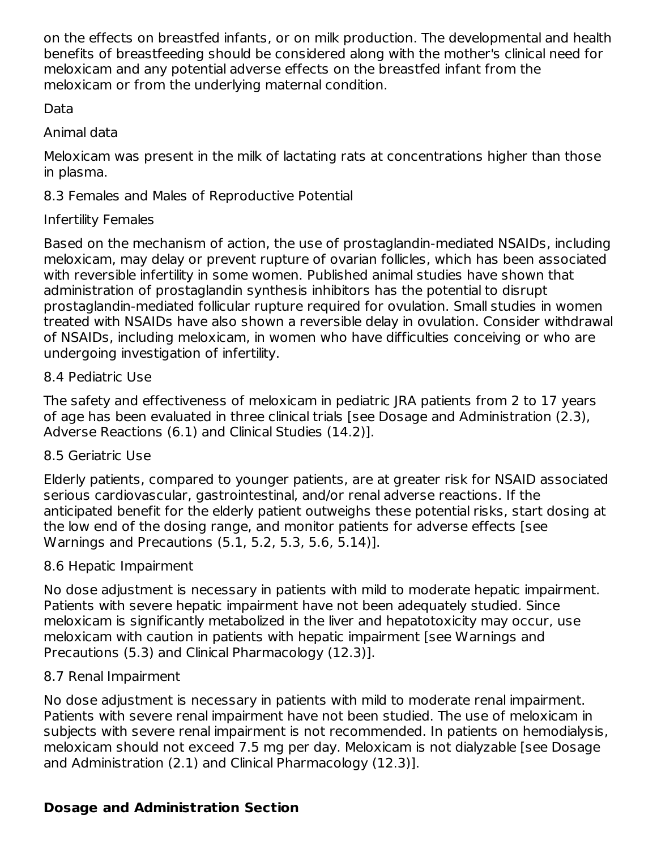on the effects on breastfed infants, or on milk production. The developmental and health benefits of breastfeeding should be considered along with the mother's clinical need for meloxicam and any potential adverse effects on the breastfed infant from the meloxicam or from the underlying maternal condition.

Data

Animal data

Meloxicam was present in the milk of lactating rats at concentrations higher than those in plasma.

8.3 Females and Males of Reproductive Potential

## Infertility Females

Based on the mechanism of action, the use of prostaglandin-mediated NSAIDs, including meloxicam, may delay or prevent rupture of ovarian follicles, which has been associated with reversible infertility in some women. Published animal studies have shown that administration of prostaglandin synthesis inhibitors has the potential to disrupt prostaglandin-mediated follicular rupture required for ovulation. Small studies in women treated with NSAIDs have also shown a reversible delay in ovulation. Consider withdrawal of NSAIDs, including meloxicam, in women who have difficulties conceiving or who are undergoing investigation of infertility.

## 8.4 Pediatric Use

The safety and effectiveness of meloxicam in pediatric JRA patients from 2 to 17 years of age has been evaluated in three clinical trials [see Dosage and Administration (2.3), Adverse Reactions (6.1) and Clinical Studies (14.2)].

## 8.5 Geriatric Use

Elderly patients, compared to younger patients, are at greater risk for NSAID associated serious cardiovascular, gastrointestinal, and/or renal adverse reactions. If the anticipated benefit for the elderly patient outweighs these potential risks, start dosing at the low end of the dosing range, and monitor patients for adverse effects [see Warnings and Precautions (5.1, 5.2, 5.3, 5.6, 5.14)].

## 8.6 Hepatic Impairment

No dose adjustment is necessary in patients with mild to moderate hepatic impairment. Patients with severe hepatic impairment have not been adequately studied. Since meloxicam is significantly metabolized in the liver and hepatotoxicity may occur, use meloxicam with caution in patients with hepatic impairment [see Warnings and Precautions (5.3) and Clinical Pharmacology (12.3)].

## 8.7 Renal Impairment

No dose adjustment is necessary in patients with mild to moderate renal impairment. Patients with severe renal impairment have not been studied. The use of meloxicam in subjects with severe renal impairment is not recommended. In patients on hemodialysis, meloxicam should not exceed 7.5 mg per day. Meloxicam is not dialyzable [see Dosage and Administration (2.1) and Clinical Pharmacology (12.3)].

## **Dosage and Administration Section**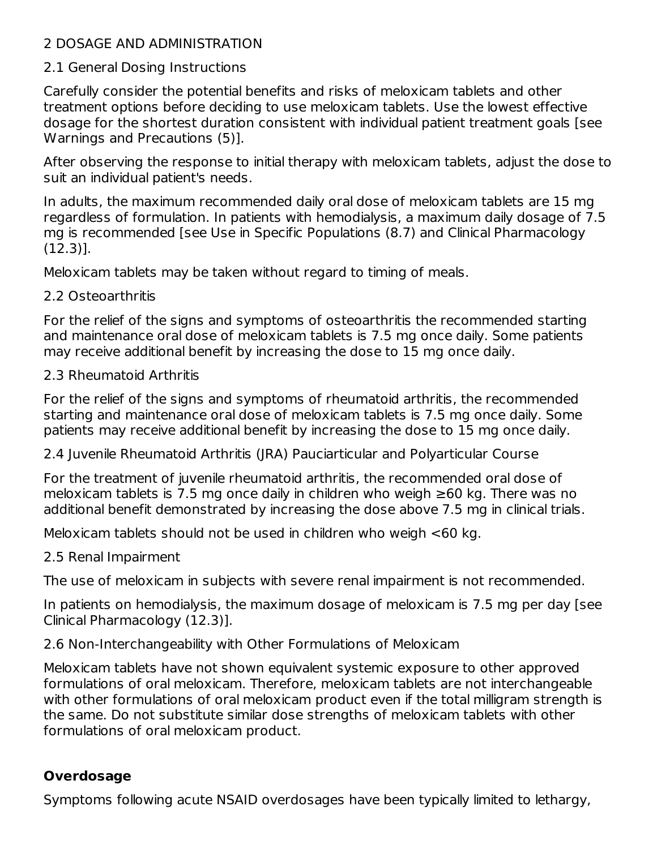### 2 DOSAGE AND ADMINISTRATION

#### 2.1 General Dosing Instructions

Carefully consider the potential benefits and risks of meloxicam tablets and other treatment options before deciding to use meloxicam tablets. Use the lowest effective dosage for the shortest duration consistent with individual patient treatment goals [see Warnings and Precautions (5)].

After observing the response to initial therapy with meloxicam tablets, adjust the dose to suit an individual patient's needs.

In adults, the maximum recommended daily oral dose of meloxicam tablets are 15 mg regardless of formulation. In patients with hemodialysis, a maximum daily dosage of 7.5 mg is recommended [see Use in Specific Populations (8.7) and Clinical Pharmacology (12.3)].

Meloxicam tablets may be taken without regard to timing of meals.

#### 2.2 Osteoarthritis

For the relief of the signs and symptoms of osteoarthritis the recommended starting and maintenance oral dose of meloxicam tablets is 7.5 mg once daily. Some patients may receive additional benefit by increasing the dose to 15 mg once daily.

### 2.3 Rheumatoid Arthritis

For the relief of the signs and symptoms of rheumatoid arthritis, the recommended starting and maintenance oral dose of meloxicam tablets is 7.5 mg once daily. Some patients may receive additional benefit by increasing the dose to 15 mg once daily.

2.4 Juvenile Rheumatoid Arthritis (JRA) Pauciarticular and Polyarticular Course

For the treatment of juvenile rheumatoid arthritis, the recommended oral dose of meloxicam tablets is 7.5 mg once daily in children who weigh ≥60 kg. There was no additional benefit demonstrated by increasing the dose above 7.5 mg in clinical trials.

Meloxicam tablets should not be used in children who weigh <60 kg.

2.5 Renal Impairment

The use of meloxicam in subjects with severe renal impairment is not recommended.

In patients on hemodialysis, the maximum dosage of meloxicam is 7.5 mg per day [see Clinical Pharmacology (12.3)].

2.6 Non-Interchangeability with Other Formulations of Meloxicam

Meloxicam tablets have not shown equivalent systemic exposure to other approved formulations of oral meloxicam. Therefore, meloxicam tablets are not interchangeable with other formulations of oral meloxicam product even if the total milligram strength is the same. Do not substitute similar dose strengths of meloxicam tablets with other formulations of oral meloxicam product.

## **Overdosage**

Symptoms following acute NSAID overdosages have been typically limited to lethargy,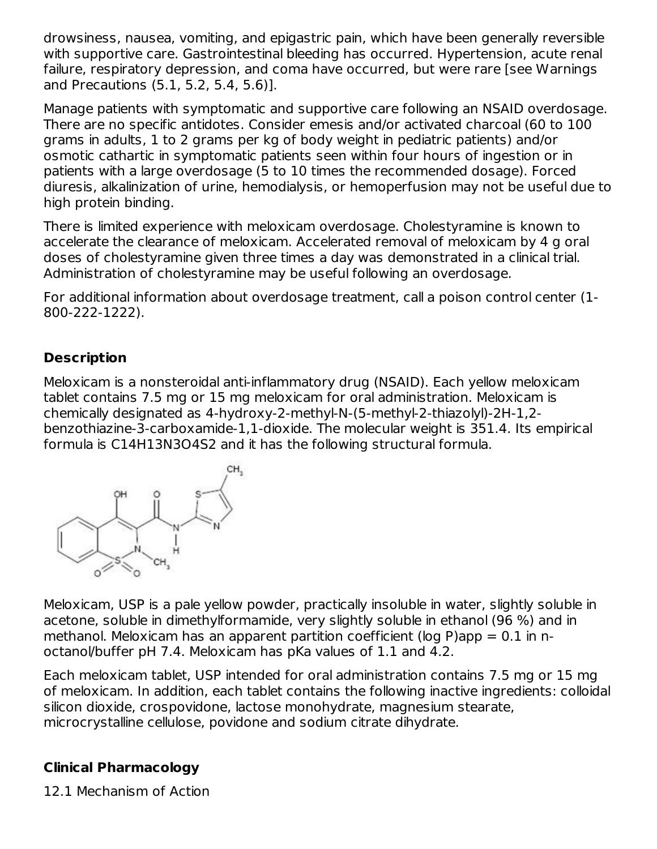drowsiness, nausea, vomiting, and epigastric pain, which have been generally reversible with supportive care. Gastrointestinal bleeding has occurred. Hypertension, acute renal failure, respiratory depression, and coma have occurred, but were rare [see Warnings and Precautions (5.1, 5.2, 5.4, 5.6)].

Manage patients with symptomatic and supportive care following an NSAID overdosage. There are no specific antidotes. Consider emesis and/or activated charcoal (60 to 100 grams in adults, 1 to 2 grams per kg of body weight in pediatric patients) and/or osmotic cathartic in symptomatic patients seen within four hours of ingestion or in patients with a large overdosage (5 to 10 times the recommended dosage). Forced diuresis, alkalinization of urine, hemodialysis, or hemoperfusion may not be useful due to high protein binding.

There is limited experience with meloxicam overdosage. Cholestyramine is known to accelerate the clearance of meloxicam. Accelerated removal of meloxicam by 4 g oral doses of cholestyramine given three times a day was demonstrated in a clinical trial. Administration of cholestyramine may be useful following an overdosage.

For additional information about overdosage treatment, call a poison control center (1- 800-222-1222).

# **Description**

Meloxicam is a nonsteroidal anti-inflammatory drug (NSAID). Each yellow meloxicam tablet contains 7.5 mg or 15 mg meloxicam for oral administration. Meloxicam is chemically designated as 4-hydroxy-2-methyl-N-(5-methyl-2-thiazolyl)-2H-1,2 benzothiazine-3-carboxamide-1,1-dioxide. The molecular weight is 351.4. Its empirical formula is C14H13N3O4S2 and it has the following structural formula.



Meloxicam, USP is a pale yellow powder, practically insoluble in water, slightly soluble in acetone, soluble in dimethylformamide, very slightly soluble in ethanol (96 %) and in methanol. Meloxicam has an apparent partition coefficient (log P)app  $= 0.1$  in noctanol/buffer pH 7.4. Meloxicam has pKa values of 1.1 and 4.2.

Each meloxicam tablet, USP intended for oral administration contains 7.5 mg or 15 mg of meloxicam. In addition, each tablet contains the following inactive ingredients: colloidal silicon dioxide, crospovidone, lactose monohydrate, magnesium stearate, microcrystalline cellulose, povidone and sodium citrate dihydrate.

### **Clinical Pharmacology**

12.1 Mechanism of Action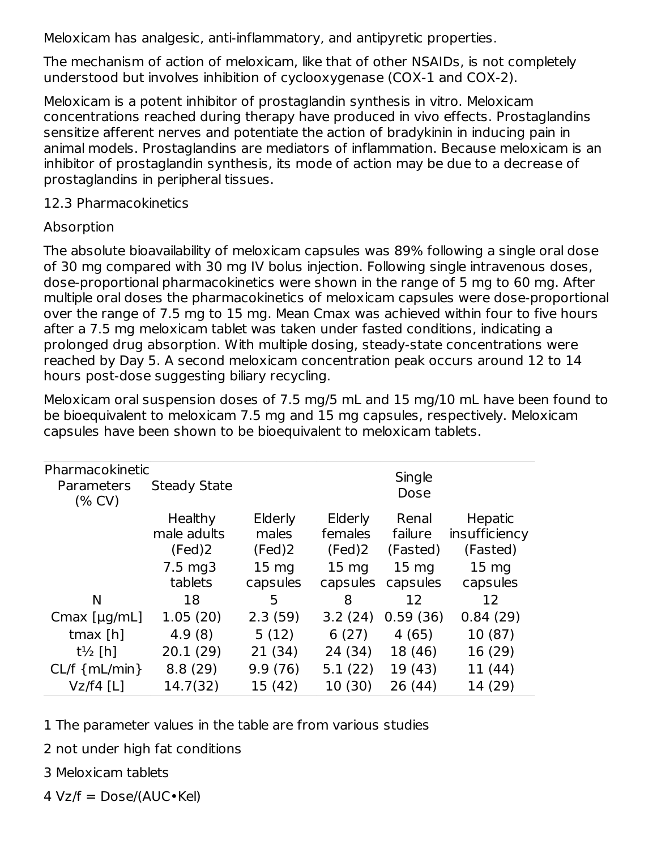Meloxicam has analgesic, anti-inflammatory, and antipyretic properties.

The mechanism of action of meloxicam, like that of other NSAIDs, is not completely understood but involves inhibition of cyclooxygenase (COX-1 and COX-2).

Meloxicam is a potent inhibitor of prostaglandin synthesis in vitro. Meloxicam concentrations reached during therapy have produced in vivo effects. Prostaglandins sensitize afferent nerves and potentiate the action of bradykinin in inducing pain in animal models. Prostaglandins are mediators of inflammation. Because meloxicam is an inhibitor of prostaglandin synthesis, its mode of action may be due to a decrease of prostaglandins in peripheral tissues.

#### 12.3 Pharmacokinetics

#### Absorption

The absolute bioavailability of meloxicam capsules was 89% following a single oral dose of 30 mg compared with 30 mg IV bolus injection. Following single intravenous doses, dose-proportional pharmacokinetics were shown in the range of 5 mg to 60 mg. After multiple oral doses the pharmacokinetics of meloxicam capsules were dose-proportional over the range of 7.5 mg to 15 mg. Mean Cmax was achieved within four to five hours after a 7.5 mg meloxicam tablet was taken under fasted conditions, indicating a prolonged drug absorption. With multiple dosing, steady-state concentrations were reached by Day 5. A second meloxicam concentration peak occurs around 12 to 14 hours post-dose suggesting biliary recycling.

Meloxicam oral suspension doses of 7.5 mg/5 mL and 15 mg/10 mL have been found to be bioequivalent to meloxicam 7.5 mg and 15 mg capsules, respectively. Meloxicam capsules have been shown to be bioequivalent to meloxicam tablets.

| Pharmacokinetic<br>Parameters<br>(% CV) | <b>Steady State</b> |                  |                  | Single<br>Dose   |                  |
|-----------------------------------------|---------------------|------------------|------------------|------------------|------------------|
|                                         | Healthy             | Elderly          | Elderly          | Renal            | Hepatic          |
|                                         | male adults         | males            | females          | failure          | insufficiency    |
|                                         | (Fed)2              | (Fed)2           | (Fed)2           | (Fasted)         | (Fasted)         |
|                                         | $7.5 \text{ mg}$    | 15 <sub>mg</sub> | 15 <sub>mg</sub> | 15 <sub>mg</sub> | 15 <sub>mg</sub> |
|                                         | tablets             | capsules         | capsules         | capsules         | capsules         |
| N                                       | 18                  | 5                | 8                | 12               | 12               |
| Cmax $[\mu g/mL]$                       | 1.05(20)            | 2.3(59)          | 3.2(24)          | 0.59(36)         | 0.84(29)         |
| tmax $[h]$                              | 4.9(8)              | 5(12)            | 6(27)            | 4(65)            | 10 (87)          |
| $t\frac{1}{2}$ [h]                      | 20.1(29)            | 21(34)           | 24 (34)          | 18 (46)          | 16 (29)          |
| $CL/f$ { $mL/min$ }                     | 8.8(29)             | 9.9(76)          | 5.1(22)          | 19 (43)          | 11 (44)          |
| $Vz/f4$ [L]                             | 14.7(32)            | 15 (42)          | 10 (30)          | 26 (44)          | 14 (29)          |

1 The parameter values in the table are from various studies

2 not under high fat conditions

3 Meloxicam tablets

 $4 \text{ Vz/f} = \text{Dose}/(\text{AUC} \cdot \text{Kel})$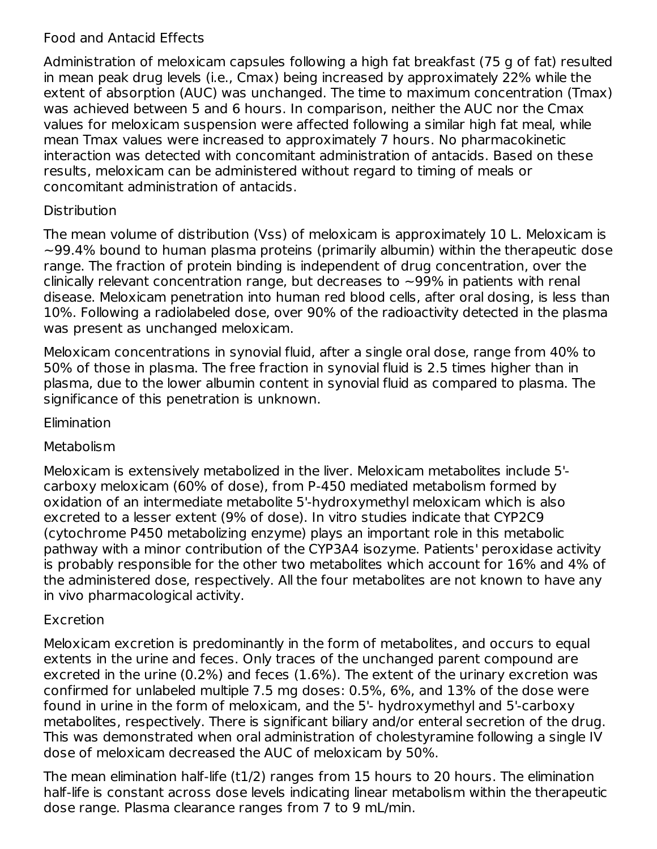### Food and Antacid Effects

Administration of meloxicam capsules following a high fat breakfast (75 g of fat) resulted in mean peak drug levels (i.e., Cmax) being increased by approximately 22% while the extent of absorption (AUC) was unchanged. The time to maximum concentration (Tmax) was achieved between 5 and 6 hours. In comparison, neither the AUC nor the Cmax values for meloxicam suspension were affected following a similar high fat meal, while mean Tmax values were increased to approximately 7 hours. No pharmacokinetic interaction was detected with concomitant administration of antacids. Based on these results, meloxicam can be administered without regard to timing of meals or concomitant administration of antacids.

### **Distribution**

The mean volume of distribution (Vss) of meloxicam is approximately 10 L. Meloxicam is  $\sim$ 99.4% bound to human plasma proteins (primarily albumin) within the therapeutic dose range. The fraction of protein binding is independent of drug concentration, over the clinically relevant concentration range, but decreases to  $\sim$ 99% in patients with renal disease. Meloxicam penetration into human red blood cells, after oral dosing, is less than 10%. Following a radiolabeled dose, over 90% of the radioactivity detected in the plasma was present as unchanged meloxicam.

Meloxicam concentrations in synovial fluid, after a single oral dose, range from 40% to 50% of those in plasma. The free fraction in synovial fluid is 2.5 times higher than in plasma, due to the lower albumin content in synovial fluid as compared to plasma. The significance of this penetration is unknown.

### **Elimination**

#### Metabolism

Meloxicam is extensively metabolized in the liver. Meloxicam metabolites include 5' carboxy meloxicam (60% of dose), from P-450 mediated metabolism formed by oxidation of an intermediate metabolite 5'-hydroxymethyl meloxicam which is also excreted to a lesser extent (9% of dose). In vitro studies indicate that CYP2C9 (cytochrome P450 metabolizing enzyme) plays an important role in this metabolic pathway with a minor contribution of the CYP3A4 isozyme. Patients' peroxidase activity is probably responsible for the other two metabolites which account for 16% and 4% of the administered dose, respectively. All the four metabolites are not known to have any in vivo pharmacological activity.

### Excretion

Meloxicam excretion is predominantly in the form of metabolites, and occurs to equal extents in the urine and feces. Only traces of the unchanged parent compound are excreted in the urine (0.2%) and feces (1.6%). The extent of the urinary excretion was confirmed for unlabeled multiple 7.5 mg doses: 0.5%, 6%, and 13% of the dose were found in urine in the form of meloxicam, and the 5'- hydroxymethyl and 5'-carboxy metabolites, respectively. There is significant biliary and/or enteral secretion of the drug. This was demonstrated when oral administration of cholestyramine following a single IV dose of meloxicam decreased the AUC of meloxicam by 50%.

The mean elimination half-life (t1/2) ranges from 15 hours to 20 hours. The elimination half-life is constant across dose levels indicating linear metabolism within the therapeutic dose range. Plasma clearance ranges from 7 to 9 mL/min.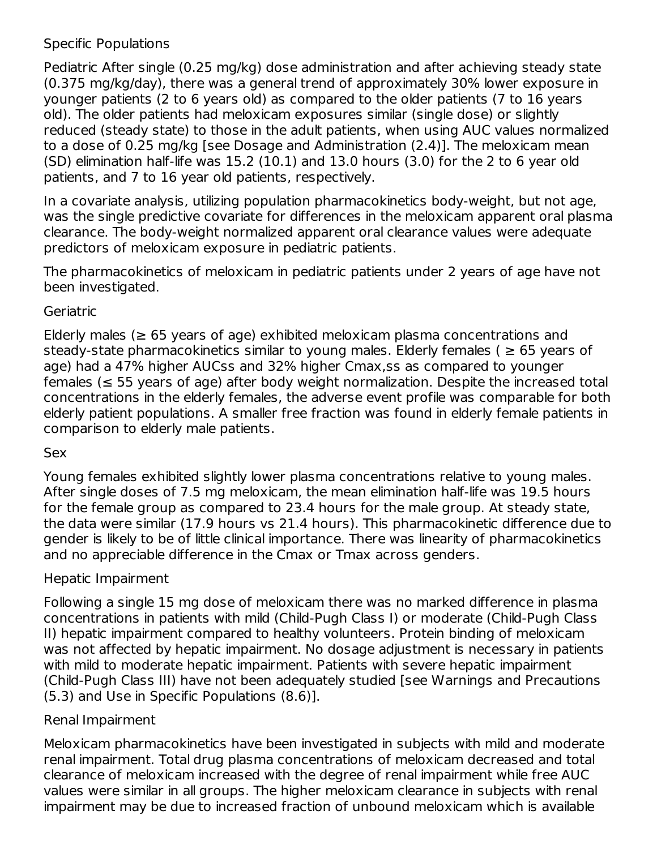#### Specific Populations

Pediatric After single (0.25 mg/kg) dose administration and after achieving steady state (0.375 mg/kg/day), there was a general trend of approximately 30% lower exposure in younger patients (2 to 6 years old) as compared to the older patients (7 to 16 years old). The older patients had meloxicam exposures similar (single dose) or slightly reduced (steady state) to those in the adult patients, when using AUC values normalized to a dose of 0.25 mg/kg [see Dosage and Administration (2.4)]. The meloxicam mean (SD) elimination half-life was 15.2 (10.1) and 13.0 hours (3.0) for the 2 to 6 year old patients, and 7 to 16 year old patients, respectively.

In a covariate analysis, utilizing population pharmacokinetics body-weight, but not age, was the single predictive covariate for differences in the meloxicam apparent oral plasma clearance. The body-weight normalized apparent oral clearance values were adequate predictors of meloxicam exposure in pediatric patients.

The pharmacokinetics of meloxicam in pediatric patients under 2 years of age have not been investigated.

#### Geriatric

Elderly males ( $\geq$  65 years of age) exhibited meloxicam plasma concentrations and steady-state pharmacokinetics similar to young males. Elderly females ( $\geq 65$  years of age) had a 47% higher AUCss and 32% higher Cmax,ss as compared to younger females ( $\leq$  55 years of age) after body weight normalization. Despite the increased total concentrations in the elderly females, the adverse event profile was comparable for both elderly patient populations. A smaller free fraction was found in elderly female patients in comparison to elderly male patients.

#### Sex

Young females exhibited slightly lower plasma concentrations relative to young males. After single doses of 7.5 mg meloxicam, the mean elimination half-life was 19.5 hours for the female group as compared to 23.4 hours for the male group. At steady state, the data were similar (17.9 hours vs 21.4 hours). This pharmacokinetic difference due to gender is likely to be of little clinical importance. There was linearity of pharmacokinetics and no appreciable difference in the Cmax or Tmax across genders.

#### Hepatic Impairment

Following a single 15 mg dose of meloxicam there was no marked difference in plasma concentrations in patients with mild (Child-Pugh Class I) or moderate (Child-Pugh Class II) hepatic impairment compared to healthy volunteers. Protein binding of meloxicam was not affected by hepatic impairment. No dosage adjustment is necessary in patients with mild to moderate hepatic impairment. Patients with severe hepatic impairment (Child-Pugh Class III) have not been adequately studied [see Warnings and Precautions (5.3) and Use in Specific Populations (8.6)].

#### Renal Impairment

Meloxicam pharmacokinetics have been investigated in subjects with mild and moderate renal impairment. Total drug plasma concentrations of meloxicam decreased and total clearance of meloxicam increased with the degree of renal impairment while free AUC values were similar in all groups. The higher meloxicam clearance in subjects with renal impairment may be due to increased fraction of unbound meloxicam which is available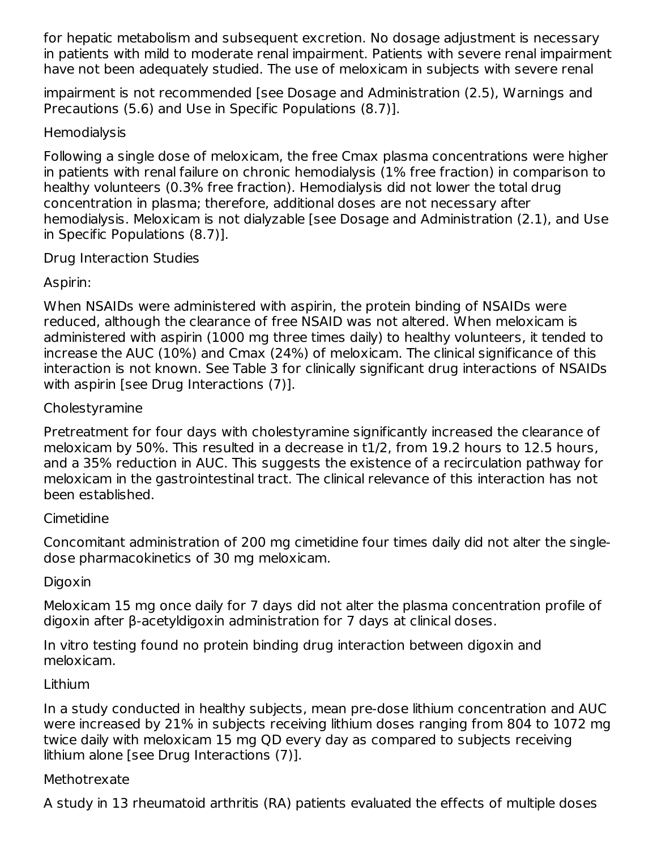for hepatic metabolism and subsequent excretion. No dosage adjustment is necessary in patients with mild to moderate renal impairment. Patients with severe renal impairment have not been adequately studied. The use of meloxicam in subjects with severe renal

impairment is not recommended [see Dosage and Administration (2.5), Warnings and Precautions (5.6) and Use in Specific Populations (8.7)].

### **Hemodialysis**

Following a single dose of meloxicam, the free Cmax plasma concentrations were higher in patients with renal failure on chronic hemodialysis (1% free fraction) in comparison to healthy volunteers (0.3% free fraction). Hemodialysis did not lower the total drug concentration in plasma; therefore, additional doses are not necessary after hemodialysis. Meloxicam is not dialyzable [see Dosage and Administration (2.1), and Use in Specific Populations (8.7)].

### Drug Interaction Studies

## Aspirin:

When NSAIDs were administered with aspirin, the protein binding of NSAIDs were reduced, although the clearance of free NSAID was not altered. When meloxicam is administered with aspirin (1000 mg three times daily) to healthy volunteers, it tended to increase the AUC (10%) and Cmax (24%) of meloxicam. The clinical significance of this interaction is not known. See Table 3 for clinically significant drug interactions of NSAIDs with aspirin [see Drug Interactions (7)].

### Cholestyramine

Pretreatment for four days with cholestyramine significantly increased the clearance of meloxicam by 50%. This resulted in a decrease in t1/2, from 19.2 hours to 12.5 hours, and a 35% reduction in AUC. This suggests the existence of a recirculation pathway for meloxicam in the gastrointestinal tract. The clinical relevance of this interaction has not been established.

### Cimetidine

Concomitant administration of 200 mg cimetidine four times daily did not alter the singledose pharmacokinetics of 30 mg meloxicam.

### Digoxin

Meloxicam 15 mg once daily for 7 days did not alter the plasma concentration profile of digoxin after β-acetyldigoxin administration for 7 days at clinical doses.

In vitro testing found no protein binding drug interaction between digoxin and meloxicam.

### Lithium

In a study conducted in healthy subjects, mean pre-dose lithium concentration and AUC were increased by 21% in subjects receiving lithium doses ranging from 804 to 1072 mg twice daily with meloxicam 15 mg QD every day as compared to subjects receiving lithium alone [see Drug Interactions (7)].

### Methotrexate

A study in 13 rheumatoid arthritis (RA) patients evaluated the effects of multiple doses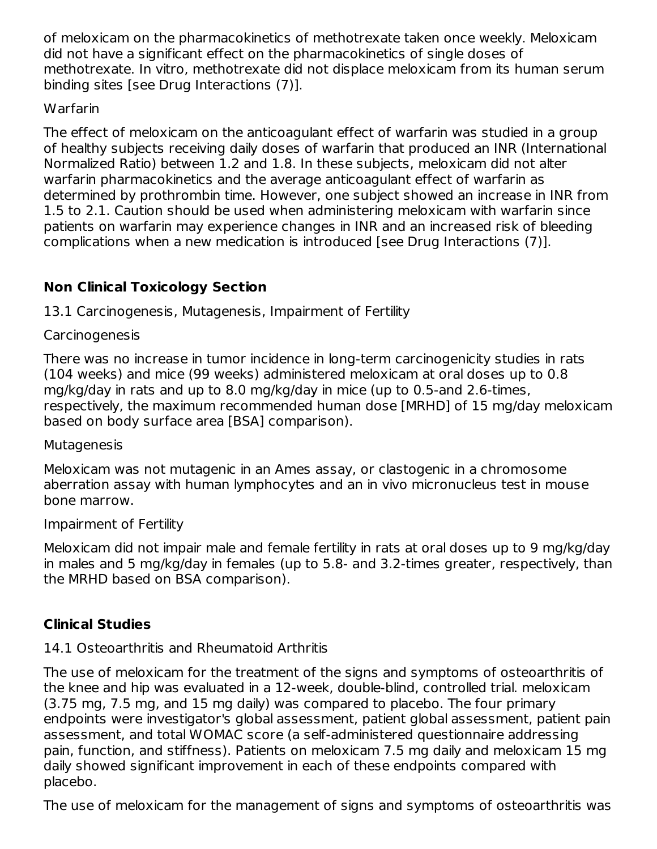of meloxicam on the pharmacokinetics of methotrexate taken once weekly. Meloxicam did not have a significant effect on the pharmacokinetics of single doses of methotrexate. In vitro, methotrexate did not displace meloxicam from its human serum binding sites [see Drug Interactions (7)].

### Warfarin

The effect of meloxicam on the anticoagulant effect of warfarin was studied in a group of healthy subjects receiving daily doses of warfarin that produced an INR (International Normalized Ratio) between 1.2 and 1.8. In these subjects, meloxicam did not alter warfarin pharmacokinetics and the average anticoagulant effect of warfarin as determined by prothrombin time. However, one subject showed an increase in INR from 1.5 to 2.1. Caution should be used when administering meloxicam with warfarin since patients on warfarin may experience changes in INR and an increased risk of bleeding complications when a new medication is introduced [see Drug Interactions (7)].

## **Non Clinical Toxicology Section**

13.1 Carcinogenesis, Mutagenesis, Impairment of Fertility

## Carcinogenesis

There was no increase in tumor incidence in long-term carcinogenicity studies in rats (104 weeks) and mice (99 weeks) administered meloxicam at oral doses up to 0.8 mg/kg/day in rats and up to 8.0 mg/kg/day in mice (up to 0.5-and 2.6-times, respectively, the maximum recommended human dose [MRHD] of 15 mg/day meloxicam based on body surface area [BSA] comparison).

### Mutagenesis

Meloxicam was not mutagenic in an Ames assay, or clastogenic in a chromosome aberration assay with human lymphocytes and an in vivo micronucleus test in mouse bone marrow.

### Impairment of Fertility

Meloxicam did not impair male and female fertility in rats at oral doses up to 9 mg/kg/day in males and 5 mg/kg/day in females (up to 5.8- and 3.2-times greater, respectively, than the MRHD based on BSA comparison).

## **Clinical Studies**

# 14.1 Osteoarthritis and Rheumatoid Arthritis

The use of meloxicam for the treatment of the signs and symptoms of osteoarthritis of the knee and hip was evaluated in a 12-week, double-blind, controlled trial. meloxicam (3.75 mg, 7.5 mg, and 15 mg daily) was compared to placebo. The four primary endpoints were investigator's global assessment, patient global assessment, patient pain assessment, and total WOMAC score (a self-administered questionnaire addressing pain, function, and stiffness). Patients on meloxicam 7.5 mg daily and meloxicam 15 mg daily showed significant improvement in each of these endpoints compared with placebo.

The use of meloxicam for the management of signs and symptoms of osteoarthritis was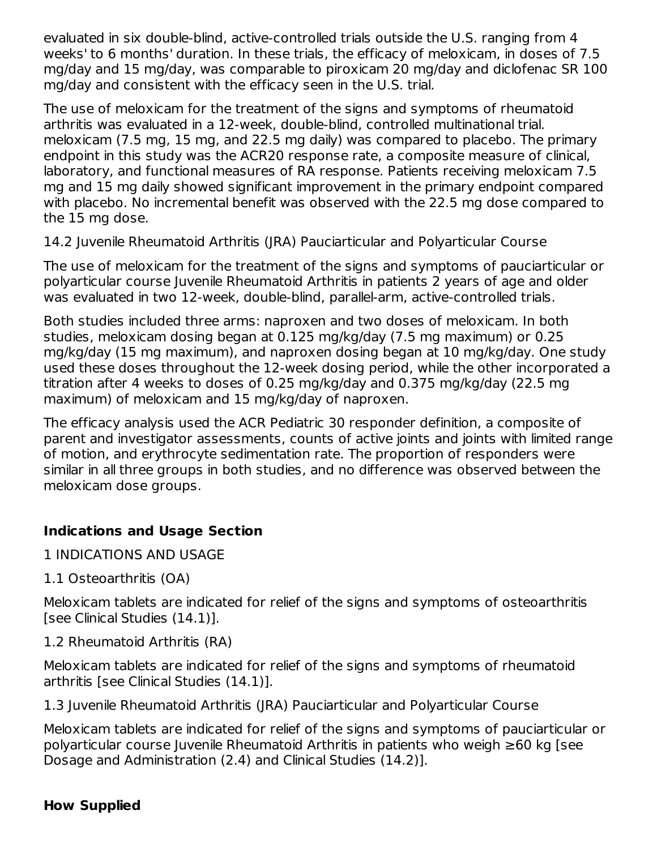evaluated in six double-blind, active-controlled trials outside the U.S. ranging from 4 weeks' to 6 months' duration. In these trials, the efficacy of meloxicam, in doses of 7.5 mg/day and 15 mg/day, was comparable to piroxicam 20 mg/day and diclofenac SR 100 mg/day and consistent with the efficacy seen in the U.S. trial.

The use of meloxicam for the treatment of the signs and symptoms of rheumatoid arthritis was evaluated in a 12-week, double-blind, controlled multinational trial. meloxicam (7.5 mg, 15 mg, and 22.5 mg daily) was compared to placebo. The primary endpoint in this study was the ACR20 response rate, a composite measure of clinical, laboratory, and functional measures of RA response. Patients receiving meloxicam 7.5 mg and 15 mg daily showed significant improvement in the primary endpoint compared with placebo. No incremental benefit was observed with the 22.5 mg dose compared to the 15 mg dose.

14.2 Juvenile Rheumatoid Arthritis (JRA) Pauciarticular and Polyarticular Course

The use of meloxicam for the treatment of the signs and symptoms of pauciarticular or polyarticular course Juvenile Rheumatoid Arthritis in patients 2 years of age and older was evaluated in two 12-week, double-blind, parallel-arm, active-controlled trials.

Both studies included three arms: naproxen and two doses of meloxicam. In both studies, meloxicam dosing began at 0.125 mg/kg/day (7.5 mg maximum) or 0.25 mg/kg/day (15 mg maximum), and naproxen dosing began at 10 mg/kg/day. One study used these doses throughout the 12-week dosing period, while the other incorporated a titration after 4 weeks to doses of 0.25 mg/kg/day and 0.375 mg/kg/day (22.5 mg maximum) of meloxicam and 15 mg/kg/day of naproxen.

The efficacy analysis used the ACR Pediatric 30 responder definition, a composite of parent and investigator assessments, counts of active joints and joints with limited range of motion, and erythrocyte sedimentation rate. The proportion of responders were similar in all three groups in both studies, and no difference was observed between the meloxicam dose groups.

## **Indications and Usage Section**

1 INDICATIONS AND USAGE

1.1 Osteoarthritis (OA)

Meloxicam tablets are indicated for relief of the signs and symptoms of osteoarthritis [see Clinical Studies (14.1)].

1.2 Rheumatoid Arthritis (RA)

Meloxicam tablets are indicated for relief of the signs and symptoms of rheumatoid arthritis [see Clinical Studies (14.1)].

1.3 Juvenile Rheumatoid Arthritis (JRA) Pauciarticular and Polyarticular Course

Meloxicam tablets are indicated for relief of the signs and symptoms of pauciarticular or polyarticular course Juvenile Rheumatoid Arthritis in patients who weigh ≥60 kg [see Dosage and Administration (2.4) and Clinical Studies (14.2)].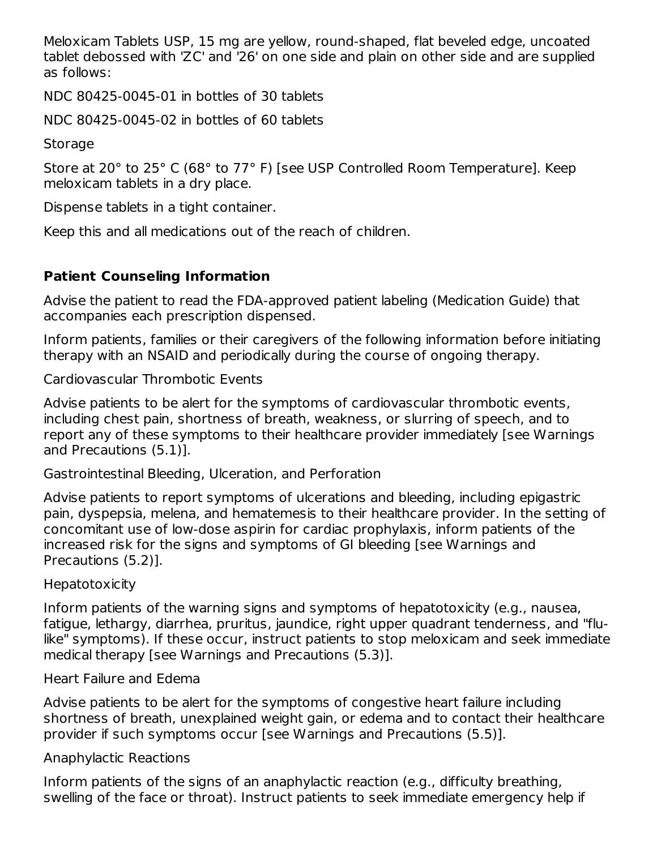Meloxicam Tablets USP, 15 mg are yellow, round-shaped, flat beveled edge, uncoated tablet debossed with 'ZC' and '26' on one side and plain on other side and are supplied as follows:

NDC 80425-0045-01 in bottles of 30 tablets

NDC 80425-0045-02 in bottles of 60 tablets

Storage

Store at 20° to 25° C (68° to 77° F) [see USP Controlled Room Temperature]. Keep meloxicam tablets in a dry place.

Dispense tablets in a tight container.

Keep this and all medications out of the reach of children.

## **Patient Counseling Information**

Advise the patient to read the FDA-approved patient labeling (Medication Guide) that accompanies each prescription dispensed.

Inform patients, families or their caregivers of the following information before initiating therapy with an NSAID and periodically during the course of ongoing therapy.

Cardiovascular Thrombotic Events

Advise patients to be alert for the symptoms of cardiovascular thrombotic events, including chest pain, shortness of breath, weakness, or slurring of speech, and to report any of these symptoms to their healthcare provider immediately [see Warnings and Precautions (5.1)].

Gastrointestinal Bleeding, Ulceration, and Perforation

Advise patients to report symptoms of ulcerations and bleeding, including epigastric pain, dyspepsia, melena, and hematemesis to their healthcare provider. In the setting of concomitant use of low-dose aspirin for cardiac prophylaxis, inform patients of the increased risk for the signs and symptoms of GI bleeding [see Warnings and Precautions (5.2)].

### **Hepatotoxicity**

Inform patients of the warning signs and symptoms of hepatotoxicity (e.g., nausea, fatigue, lethargy, diarrhea, pruritus, jaundice, right upper quadrant tenderness, and "flulike" symptoms). If these occur, instruct patients to stop meloxicam and seek immediate medical therapy [see Warnings and Precautions (5.3)].

### Heart Failure and Edema

Advise patients to be alert for the symptoms of congestive heart failure including shortness of breath, unexplained weight gain, or edema and to contact their healthcare provider if such symptoms occur [see Warnings and Precautions (5.5)].

### Anaphylactic Reactions

Inform patients of the signs of an anaphylactic reaction (e.g., difficulty breathing, swelling of the face or throat). Instruct patients to seek immediate emergency help if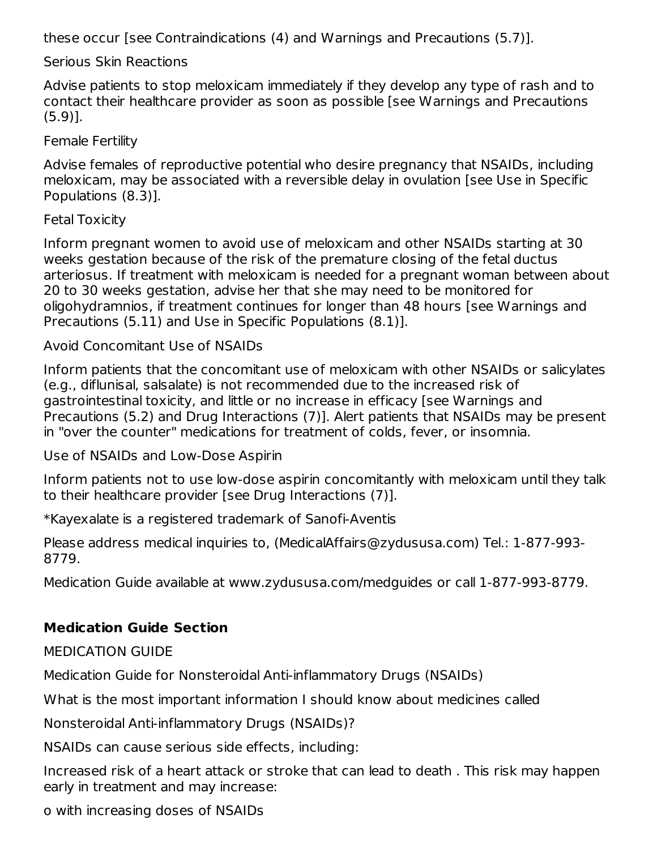these occur [see Contraindications (4) and Warnings and Precautions (5.7)].

Serious Skin Reactions

Advise patients to stop meloxicam immediately if they develop any type of rash and to contact their healthcare provider as soon as possible [see Warnings and Precautions (5.9)].

Female Fertility

Advise females of reproductive potential who desire pregnancy that NSAIDs, including meloxicam, may be associated with a reversible delay in ovulation [see Use in Specific Populations (8.3)].

#### Fetal Toxicity

Inform pregnant women to avoid use of meloxicam and other NSAIDs starting at 30 weeks gestation because of the risk of the premature closing of the fetal ductus arteriosus. If treatment with meloxicam is needed for a pregnant woman between about 20 to 30 weeks gestation, advise her that she may need to be monitored for oligohydramnios, if treatment continues for longer than 48 hours [see Warnings and Precautions (5.11) and Use in Specific Populations (8.1)].

Avoid Concomitant Use of NSAIDs

Inform patients that the concomitant use of meloxicam with other NSAIDs or salicylates (e.g., diflunisal, salsalate) is not recommended due to the increased risk of gastrointestinal toxicity, and little or no increase in efficacy [see Warnings and Precautions (5.2) and Drug Interactions (7)]. Alert patients that NSAIDs may be present in "over the counter" medications for treatment of colds, fever, or insomnia.

Use of NSAIDs and Low-Dose Aspirin

Inform patients not to use low-dose aspirin concomitantly with meloxicam until they talk to their healthcare provider [see Drug Interactions (7)].

\*Kayexalate is a registered trademark of Sanofi-Aventis

Please address medical inquiries to, (MedicalAffairs@zydususa.com) Tel.: 1-877-993- 8779.

Medication Guide available at www.zydususa.com/medguides or call 1-877-993-8779.

### **Medication Guide Section**

MEDICATION GUIDE

Medication Guide for Nonsteroidal Anti-inflammatory Drugs (NSAIDs)

What is the most important information I should know about medicines called

Nonsteroidal Anti-inflammatory Drugs (NSAIDs)?

NSAIDs can cause serious side effects, including:

Increased risk of a heart attack or stroke that can lead to death . This risk may happen early in treatment and may increase:

o with increasing doses of NSAIDs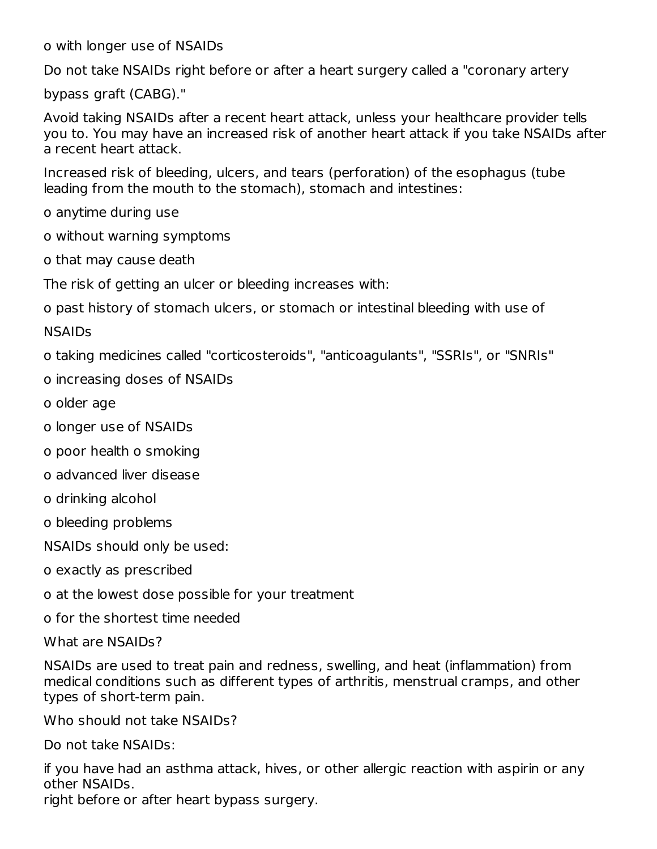o with longer use of NSAIDs

Do not take NSAIDs right before or after a heart surgery called a "coronary artery

bypass graft (CABG)."

Avoid taking NSAIDs after a recent heart attack, unless your healthcare provider tells you to. You may have an increased risk of another heart attack if you take NSAIDs after a recent heart attack.

Increased risk of bleeding, ulcers, and tears (perforation) of the esophagus (tube leading from the mouth to the stomach), stomach and intestines:

o anytime during use

o without warning symptoms

o that may cause death

The risk of getting an ulcer or bleeding increases with:

o past history of stomach ulcers, or stomach or intestinal bleeding with use of

NSAIDs

o taking medicines called "corticosteroids", "anticoagulants", "SSRIs", or "SNRIs"

o increasing doses of NSAIDs

- o older age
- o longer use of NSAIDs
- o poor health o smoking
- o advanced liver disease
- o drinking alcohol
- o bleeding problems

NSAIDs should only be used:

- o exactly as prescribed
- o at the lowest dose possible for your treatment
- o for the shortest time needed

What are NSAIDs?

NSAIDs are used to treat pain and redness, swelling, and heat (inflammation) from medical conditions such as different types of arthritis, menstrual cramps, and other types of short-term pain.

Who should not take NSAIDs?

Do not take NSAIDs:

if you have had an asthma attack, hives, or other allergic reaction with aspirin or any other NSAIDs.

right before or after heart bypass surgery.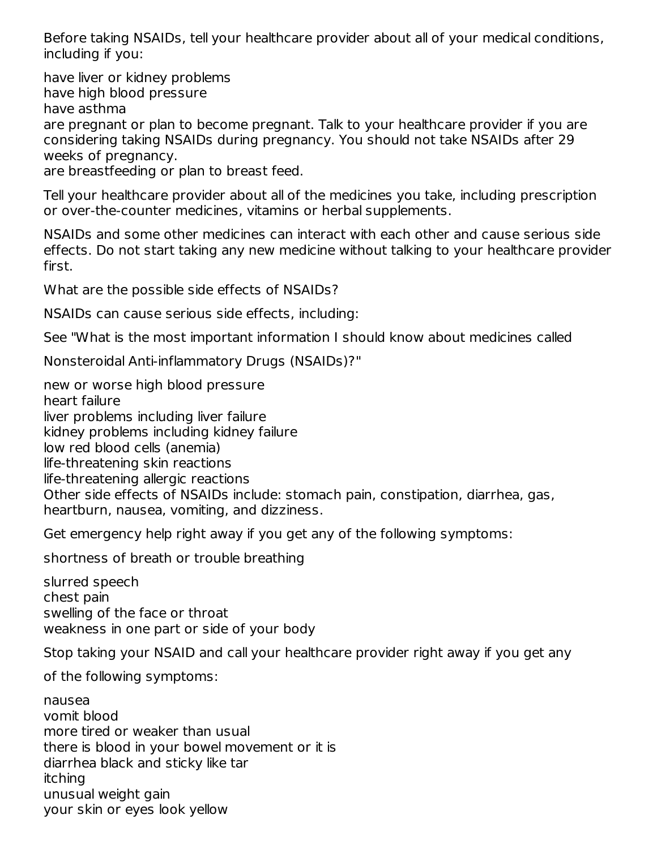Before taking NSAIDs, tell your healthcare provider about all of your medical conditions, including if you:

have liver or kidney problems have high blood pressure have asthma are pregnant or plan to become pregnant. Talk to your healthcare provider if you are considering taking NSAIDs during pregnancy. You should not take NSAIDs after 29 weeks of pregnancy. are breastfeeding or plan to breast feed.

Tell your healthcare provider about all of the medicines you take, including prescription or over-the-counter medicines, vitamins or herbal supplements.

NSAIDs and some other medicines can interact with each other and cause serious side effects. Do not start taking any new medicine without talking to your healthcare provider first.

What are the possible side effects of NSAIDs?

NSAIDs can cause serious side effects, including:

See "What is the most important information I should know about medicines called

Nonsteroidal Anti-inflammatory Drugs (NSAIDs)?"

new or worse high blood pressure heart failure liver problems including liver failure kidney problems including kidney failure low red blood cells (anemia) life-threatening skin reactions life-threatening allergic reactions Other side effects of NSAIDs include: stomach pain, constipation, diarrhea, gas, heartburn, nausea, vomiting, and dizziness.

Get emergency help right away if you get any of the following symptoms:

shortness of breath or trouble breathing

slurred speech chest pain swelling of the face or throat weakness in one part or side of your body

Stop taking your NSAID and call your healthcare provider right away if you get any

of the following symptoms:

nausea vomit blood more tired or weaker than usual there is blood in your bowel movement or it is diarrhea black and sticky like tar itching unusual weight gain your skin or eyes look yellow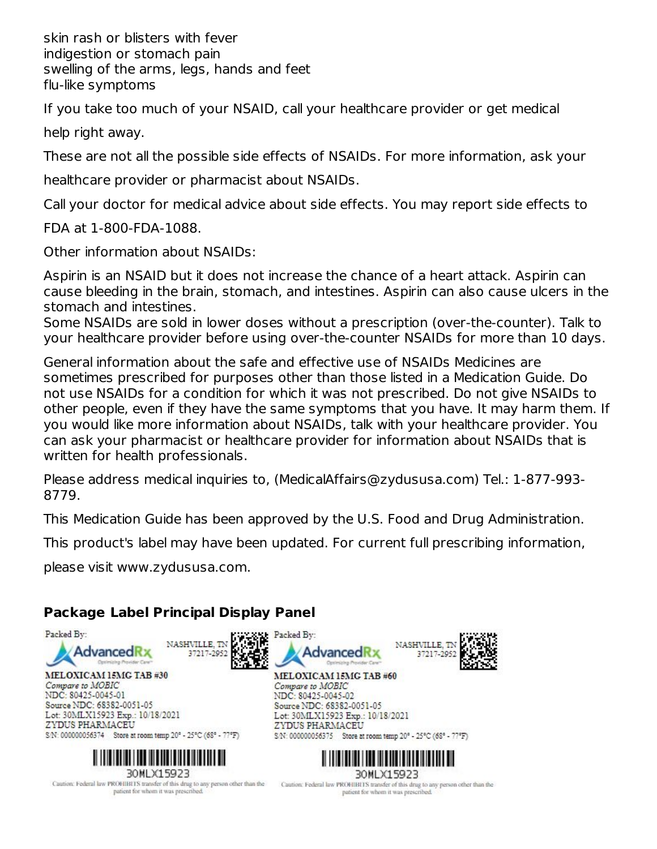skin rash or blisters with fever indigestion or stomach pain swelling of the arms, legs, hands and feet flu-like symptoms

If you take too much of your NSAID, call your healthcare provider or get medical

help right away.

These are not all the possible side effects of NSAIDs. For more information, ask your

healthcare provider or pharmacist about NSAIDs.

Call your doctor for medical advice about side effects. You may report side effects to

FDA at 1-800-FDA-1088.

Other information about NSAIDs:

Aspirin is an NSAID but it does not increase the chance of a heart attack. Aspirin can cause bleeding in the brain, stomach, and intestines. Aspirin can also cause ulcers in the stomach and intestines.

Some NSAIDs are sold in lower doses without a prescription (over-the-counter). Talk to your healthcare provider before using over-the-counter NSAIDs for more than 10 days.

General information about the safe and effective use of NSAIDs Medicines are sometimes prescribed for purposes other than those listed in a Medication Guide. Do not use NSAIDs for a condition for which it was not prescribed. Do not give NSAIDs to other people, even if they have the same symptoms that you have. It may harm them. If you would like more information about NSAIDs, talk with your healthcare provider. You can ask your pharmacist or healthcare provider for information about NSAIDs that is written for health professionals.

Please address medical inquiries to, (MedicalAffairs@zydususa.com) Tel.: 1-877-993- 8779.

This Medication Guide has been approved by the U.S. Food and Drug Administration.

This product's label may have been updated. For current full prescribing information,

please visit www.zydususa.com.

# **Package Label Principal Display Panel**



MELOXICAM 15MG TAB #30 Compare to MOBIC NDC: 80425-0045-01 Source NDC: 68382-0051-05 Lot: 30MLX15923 Exp.: 10/18/2021 ZYDUS PHARMACEU S/N: 000000056374 Store at room temp 20° - 25°C (68° - 77°F)



Caution: Federal law PROHIBITS transfer of this drug to any person other than the patient for whom it was prescribed.





MELOXICAM 15MG TAB #60 Compare to MOBIC<br>NDC: 80425-0045-02 Source NDC: 68382-0051-05 Lot: 30MLX15923 Exp.: 10/18/2021 ZYDUS PHARMACEU S.N: 000000056375 Store at room temp 20° - 25°C (68° - 77°F)



Caution: Federal law PROHIBITS transfer of this drug to any person other than the patient for whom it was prescribed.